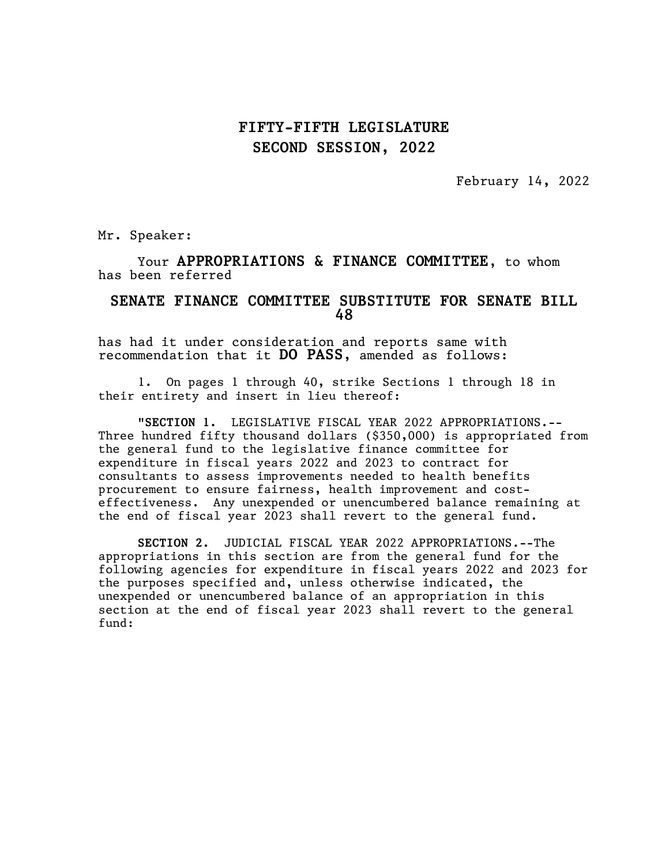February 14, 2022

Mr. Speaker:

Your APPROPRIATIONS & FINANCE COMMITTEE, to whom has been referred

#### SENATE FINANCE COMMITTEE SUBSTITUTE FOR SENATE BILL 48

has had it under consideration and reports same with recommendation that it DO PASS, amended as follows:

1. On pages 1 through 40, strike Sections 1 through 18 in their entirety and insert in lieu thereof:

"SECTION 1. LEGISLATIVE FISCAL YEAR 2022 APPROPRIATIONS.-- Three hundred fifty thousand dollars (\$350,000) is appropriated from the general fund to the legislative finance committee for expenditure in fiscal years 2022 and 2023 to contract for consultants to assess improvements needed to health benefits procurement to ensure fairness, health improvement and costeffectiveness. Any unexpended or unencumbered balance remaining at the end of fiscal year 2023 shall revert to the general fund.

SECTION 2. JUDICIAL FISCAL YEAR 2022 APPROPRIATIONS.--The appropriations in this section are from the general fund for the following agencies for expenditure in fiscal years 2022 and 2023 for the purposes specified and, unless otherwise indicated, the unexpended or unencumbered balance of an appropriation in this section at the end of fiscal year 2023 shall revert to the general fund: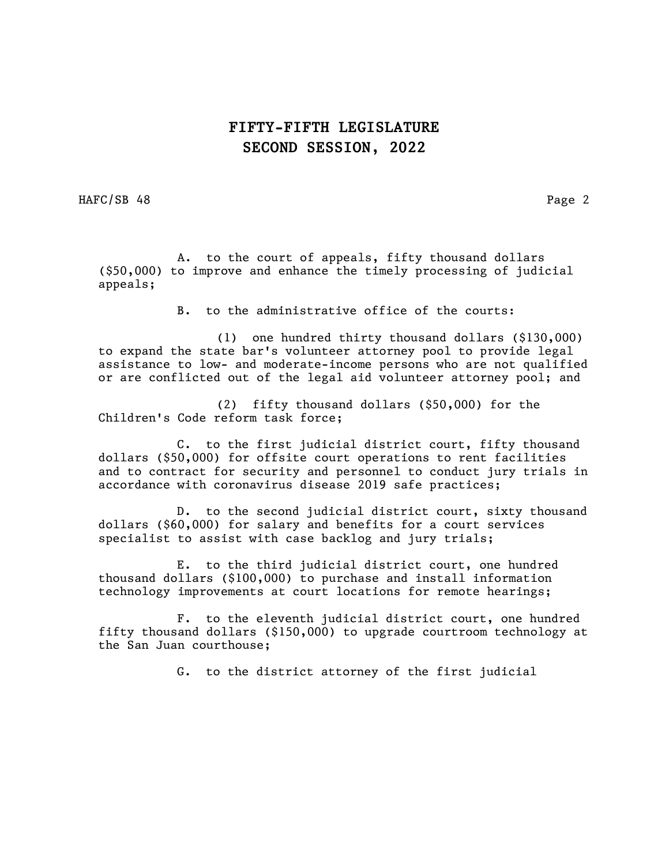HAFC/SB 48 Page 2

 A. to the court of appeals, fifty thousand dollars (\$50,000) to improve and enhance the timely processing of judicial appeals;

B. to the administrative office of the courts:

(1) one hundred thirty thousand dollars (\$130,000) to expand the state bar's volunteer attorney pool to provide legal assistance to low- and moderate-income persons who are not qualified or are conflicted out of the legal aid volunteer attorney pool; and

(2) fifty thousand dollars (\$50,000) for the Children's Code reform task force;

C. to the first judicial district court, fifty thousand dollars (\$50,000) for offsite court operations to rent facilities and to contract for security and personnel to conduct jury trials in accordance with coronavirus disease 2019 safe practices;

D. to the second judicial district court, sixty thousand dollars (\$60,000) for salary and benefits for a court services specialist to assist with case backlog and jury trials;

E. to the third judicial district court, one hundred thousand dollars (\$100,000) to purchase and install information technology improvements at court locations for remote hearings;

F. to the eleventh judicial district court, one hundred fifty thousand dollars (\$150,000) to upgrade courtroom technology at the San Juan courthouse;

G. to the district attorney of the first judicial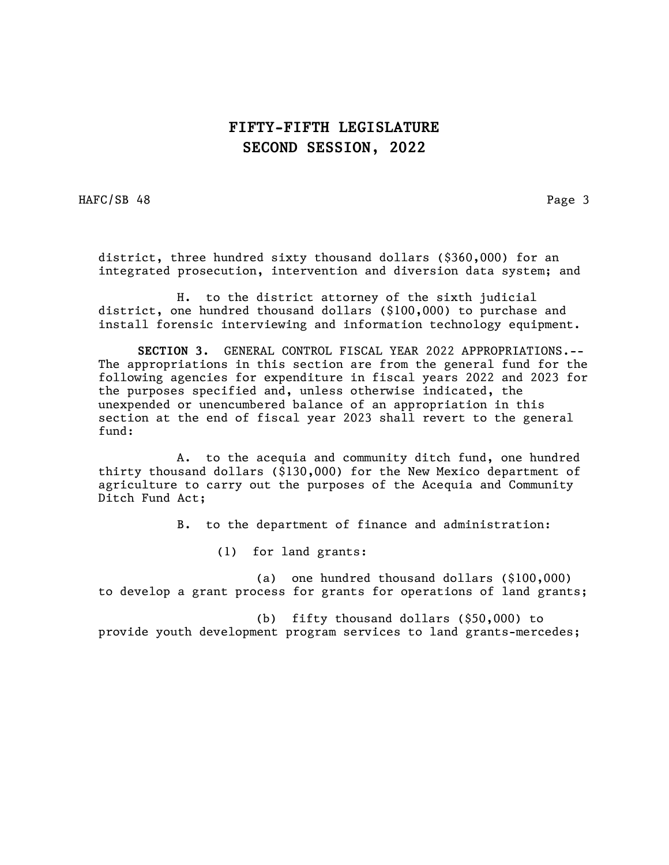HAFC/SB 48 Page 3

district, three hundred sixty thousand dollars (\$360,000) for an integrated prosecution, intervention and diversion data system; and

H. to the district attorney of the sixth judicial district, one hundred thousand dollars (\$100,000) to purchase and install forensic interviewing and information technology equipment.

SECTION 3. GENERAL CONTROL FISCAL YEAR 2022 APPROPRIATIONS.-- The appropriations in this section are from the general fund for the following agencies for expenditure in fiscal years 2022 and 2023 for the purposes specified and, unless otherwise indicated, the unexpended or unencumbered balance of an appropriation in this section at the end of fiscal year 2023 shall revert to the general fund:

A. to the acequia and community ditch fund, one hundred thirty thousand dollars (\$130,000) for the New Mexico department of agriculture to carry out the purposes of the Acequia and Community Ditch Fund Act;

B. to the department of finance and administration:

(1) for land grants:

(a) one hundred thousand dollars (\$100,000) to develop a grant process for grants for operations of land grants;

(b) fifty thousand dollars (\$50,000) to provide youth development program services to land grants-mercedes;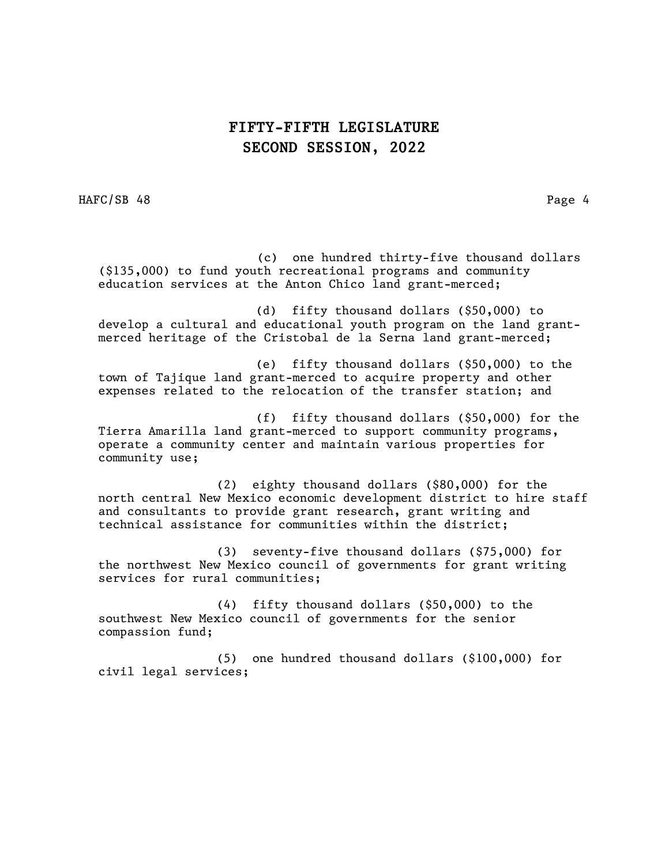HAFC/SB 48 Page 4

 (c) one hundred thirty-five thousand dollars (\$135,000) to fund youth recreational programs and community education services at the Anton Chico land grant-merced;

(d) fifty thousand dollars (\$50,000) to develop a cultural and educational youth program on the land grantmerced heritage of the Cristobal de la Serna land grant-merced;

(e) fifty thousand dollars (\$50,000) to the town of Tajique land grant-merced to acquire property and other expenses related to the relocation of the transfer station; and

(f) fifty thousand dollars (\$50,000) for the Tierra Amarilla land grant-merced to support community programs, operate a community center and maintain various properties for community use;

(2) eighty thousand dollars (\$80,000) for the north central New Mexico economic development district to hire staff and consultants to provide grant research, grant writing and technical assistance for communities within the district;

(3) seventy-five thousand dollars (\$75,000) for the northwest New Mexico council of governments for grant writing services for rural communities;

(4) fifty thousand dollars (\$50,000) to the southwest New Mexico council of governments for the senior compassion fund;

(5) one hundred thousand dollars (\$100,000) for civil legal services;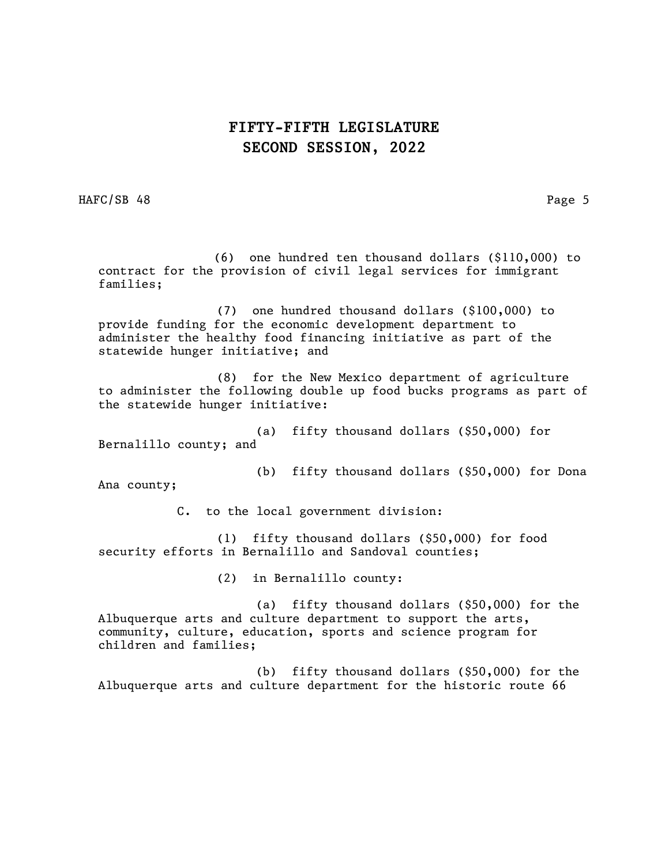HAFC/SB 48 Page 5

 (6) one hundred ten thousand dollars (\$110,000) to contract for the provision of civil legal services for immigrant families;

(7) one hundred thousand dollars (\$100,000) to provide funding for the economic development department to administer the healthy food financing initiative as part of the statewide hunger initiative; and

(8) for the New Mexico department of agriculture to administer the following double up food bucks programs as part of the statewide hunger initiative:

(a) fifty thousand dollars (\$50,000) for Bernalillo county; and

Ana county;

(b) fifty thousand dollars (\$50,000) for Dona

C. to the local government division:

(1) fifty thousand dollars (\$50,000) for food security efforts in Bernalillo and Sandoval counties;

(2) in Bernalillo county:

(a) fifty thousand dollars (\$50,000) for the Albuquerque arts and culture department to support the arts, community, culture, education, sports and science program for children and families;

(b) fifty thousand dollars (\$50,000) for the Albuquerque arts and culture department for the historic route 66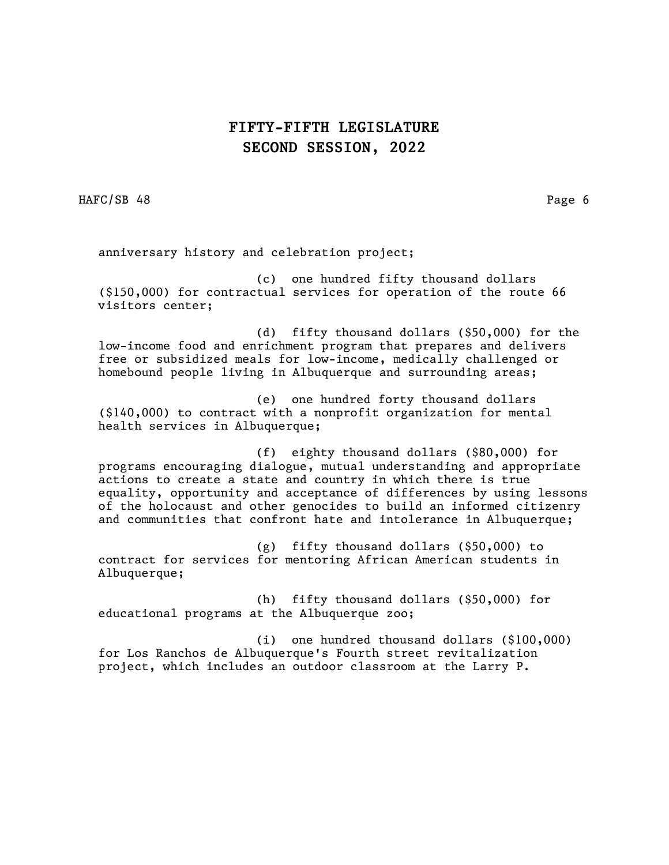HAFC/SB 48 Page 6

anniversary history and celebration project;

(c) one hundred fifty thousand dollars (\$150,000) for contractual services for operation of the route 66 visitors center;

(d) fifty thousand dollars (\$50,000) for the low-income food and enrichment program that prepares and delivers free or subsidized meals for low-income, medically challenged or homebound people living in Albuquerque and surrounding areas;

(e) one hundred forty thousand dollars (\$140,000) to contract with a nonprofit organization for mental health services in Albuquerque;

(f) eighty thousand dollars (\$80,000) for programs encouraging dialogue, mutual understanding and appropriate actions to create a state and country in which there is true equality, opportunity and acceptance of differences by using lessons of the holocaust and other genocides to build an informed citizenry and communities that confront hate and intolerance in Albuquerque;

(g) fifty thousand dollars (\$50,000) to contract for services for mentoring African American students in Albuquerque;

(h) fifty thousand dollars (\$50,000) for educational programs at the Albuquerque zoo;

(i) one hundred thousand dollars (\$100,000) for Los Ranchos de Albuquerque's Fourth street revitalization project, which includes an outdoor classroom at the Larry P.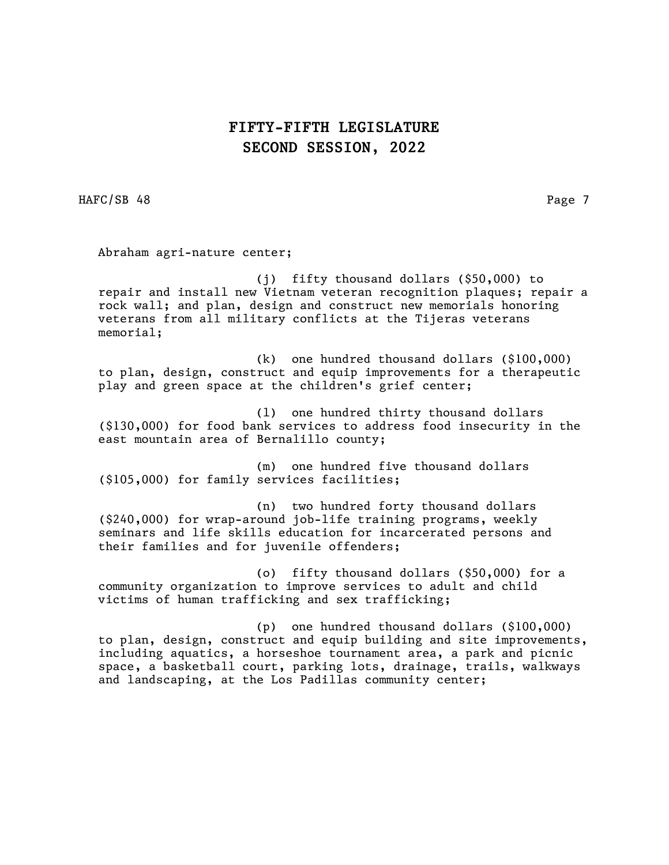HAFC/SB 48 Page 7

Abraham agri-nature center;

(j) fifty thousand dollars (\$50,000) to repair and install new Vietnam veteran recognition plaques; repair a rock wall; and plan, design and construct new memorials honoring veterans from all military conflicts at the Tijeras veterans memorial;

(k) one hundred thousand dollars (\$100,000) to plan, design, construct and equip improvements for a therapeutic play and green space at the children's grief center;

(l) one hundred thirty thousand dollars (\$130,000) for food bank services to address food insecurity in the east mountain area of Bernalillo county;

(m) one hundred five thousand dollars (\$105,000) for family services facilities;

(n) two hundred forty thousand dollars (\$240,000) for wrap-around job-life training programs, weekly seminars and life skills education for incarcerated persons and their families and for juvenile offenders;

(o) fifty thousand dollars (\$50,000) for a community organization to improve services to adult and child victims of human trafficking and sex trafficking;

(p) one hundred thousand dollars (\$100,000) to plan, design, construct and equip building and site improvements, including aquatics, a horseshoe tournament area, a park and picnic space, a basketball court, parking lots, drainage, trails, walkways and landscaping, at the Los Padillas community center;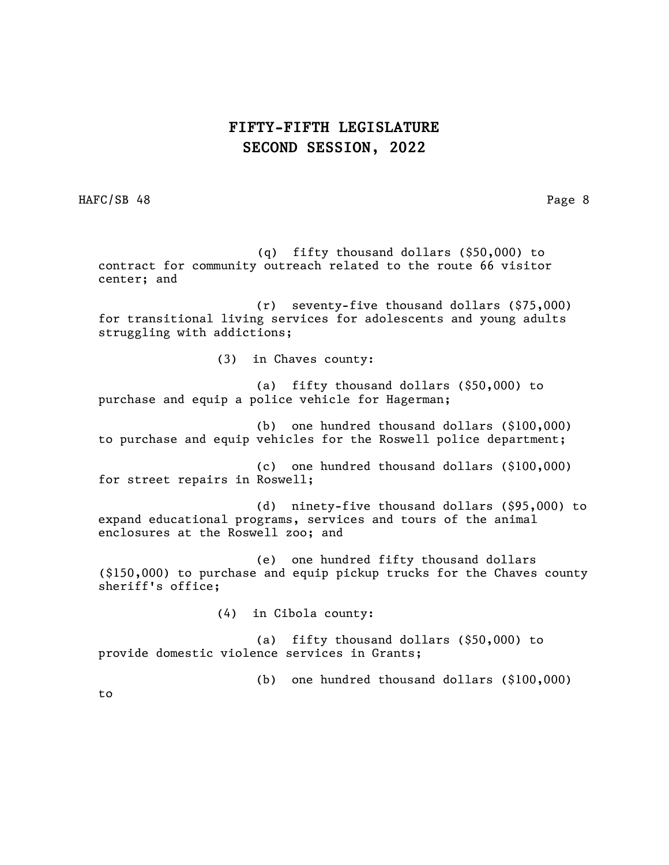HAFC/SB 48 Page 8

 (q) fifty thousand dollars (\$50,000) to contract for community outreach related to the route 66 visitor center; and

(r) seventy-five thousand dollars (\$75,000) for transitional living services for adolescents and young adults struggling with addictions;

(3) in Chaves county:

(a) fifty thousand dollars (\$50,000) to purchase and equip a police vehicle for Hagerman;

(b) one hundred thousand dollars (\$100,000) to purchase and equip vehicles for the Roswell police department;

(c) one hundred thousand dollars (\$100,000) for street repairs in Roswell;

(d) ninety-five thousand dollars (\$95,000) to expand educational programs, services and tours of the animal enclosures at the Roswell zoo; and

(e) one hundred fifty thousand dollars (\$150,000) to purchase and equip pickup trucks for the Chaves county sheriff's office;

(4) in Cibola county:

(a) fifty thousand dollars (\$50,000) to provide domestic violence services in Grants;

(b) one hundred thousand dollars (\$100,000)

to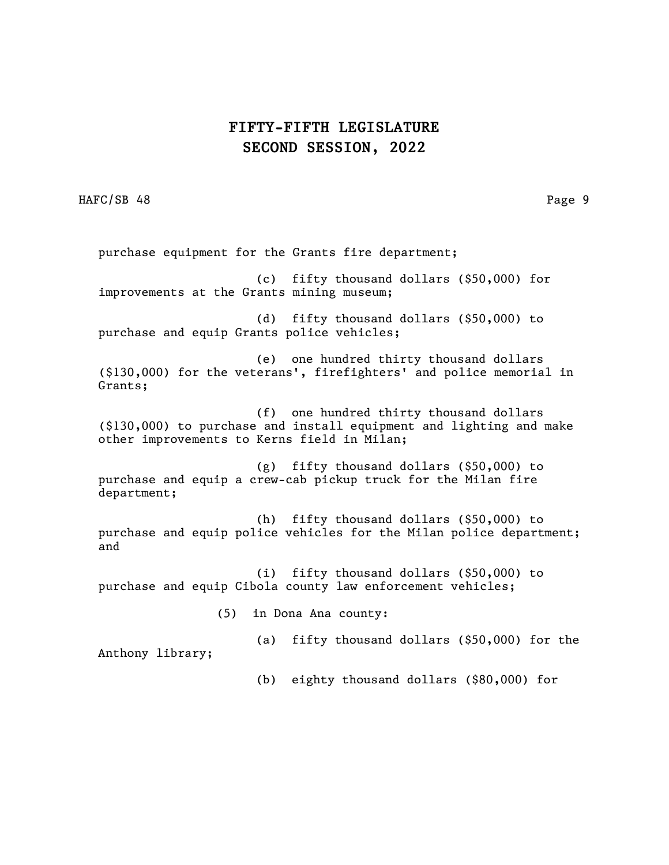HAFC/SB 48 Page 9

purchase equipment for the Grants fire department; (c) fifty thousand dollars (\$50,000) for improvements at the Grants mining museum; (d) fifty thousand dollars (\$50,000) to purchase and equip Grants police vehicles; (e) one hundred thirty thousand dollars (\$130,000) for the veterans', firefighters' and police memorial in Grants; (f) one hundred thirty thousand dollars (\$130,000) to purchase and install equipment and lighting and make other improvements to Kerns field in Milan; (g) fifty thousand dollars (\$50,000) to purchase and equip a crew-cab pickup truck for the Milan fire department; (h) fifty thousand dollars (\$50,000) to purchase and equip police vehicles for the Milan police department; and (i) fifty thousand dollars (\$50,000) to purchase and equip Cibola county law enforcement vehicles; (5) in Dona Ana county: (a) fifty thousand dollars (\$50,000) for the Anthony library; (b) eighty thousand dollars (\$80,000) for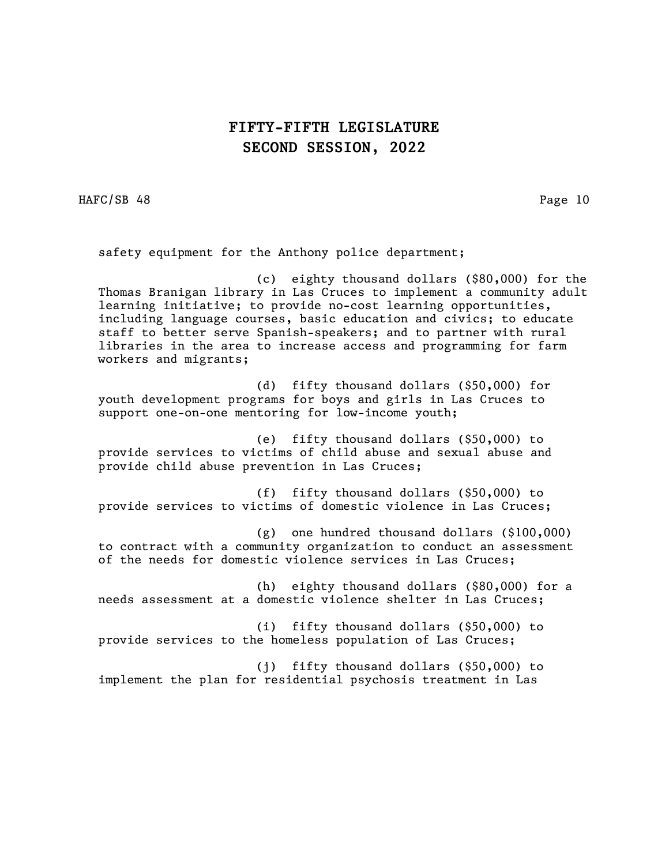HAFC/SB 48 Page 10

safety equipment for the Anthony police department;

(c) eighty thousand dollars (\$80,000) for the Thomas Branigan library in Las Cruces to implement a community adult learning initiative; to provide no-cost learning opportunities, including language courses, basic education and civics; to educate staff to better serve Spanish-speakers; and to partner with rural libraries in the area to increase access and programming for farm workers and migrants;

(d) fifty thousand dollars (\$50,000) for youth development programs for boys and girls in Las Cruces to support one-on-one mentoring for low-income youth;

(e) fifty thousand dollars (\$50,000) to provide services to victims of child abuse and sexual abuse and provide child abuse prevention in Las Cruces;

(f) fifty thousand dollars (\$50,000) to provide services to victims of domestic violence in Las Cruces;

(g) one hundred thousand dollars (\$100,000) to contract with a community organization to conduct an assessment of the needs for domestic violence services in Las Cruces;

(h) eighty thousand dollars (\$80,000) for a needs assessment at a domestic violence shelter in Las Cruces;

(i) fifty thousand dollars (\$50,000) to provide services to the homeless population of Las Cruces;

(j) fifty thousand dollars (\$50,000) to implement the plan for residential psychosis treatment in Las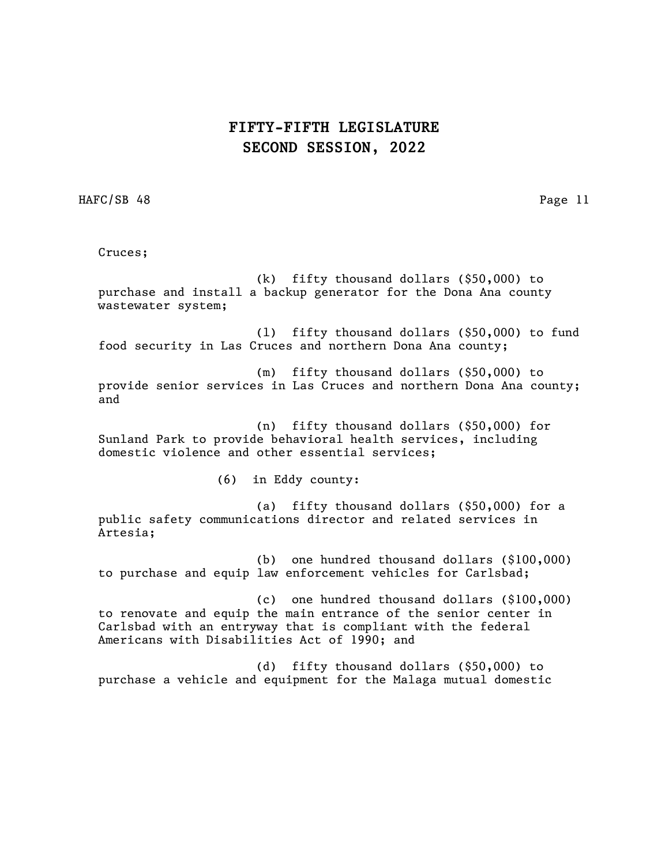HAFC/SB 48 Page 11

Cruces;

(k) fifty thousand dollars (\$50,000) to purchase and install a backup generator for the Dona Ana county wastewater system;

(l) fifty thousand dollars (\$50,000) to fund food security in Las Cruces and northern Dona Ana county;

(m) fifty thousand dollars (\$50,000) to provide senior services in Las Cruces and northern Dona Ana county; and

(n) fifty thousand dollars (\$50,000) for Sunland Park to provide behavioral health services, including domestic violence and other essential services;

(6) in Eddy county:

(a) fifty thousand dollars (\$50,000) for a public safety communications director and related services in Artesia;

(b) one hundred thousand dollars (\$100,000) to purchase and equip law enforcement vehicles for Carlsbad;

(c) one hundred thousand dollars (\$100,000) to renovate and equip the main entrance of the senior center in Carlsbad with an entryway that is compliant with the federal Americans with Disabilities Act of 1990; and

(d) fifty thousand dollars (\$50,000) to purchase a vehicle and equipment for the Malaga mutual domestic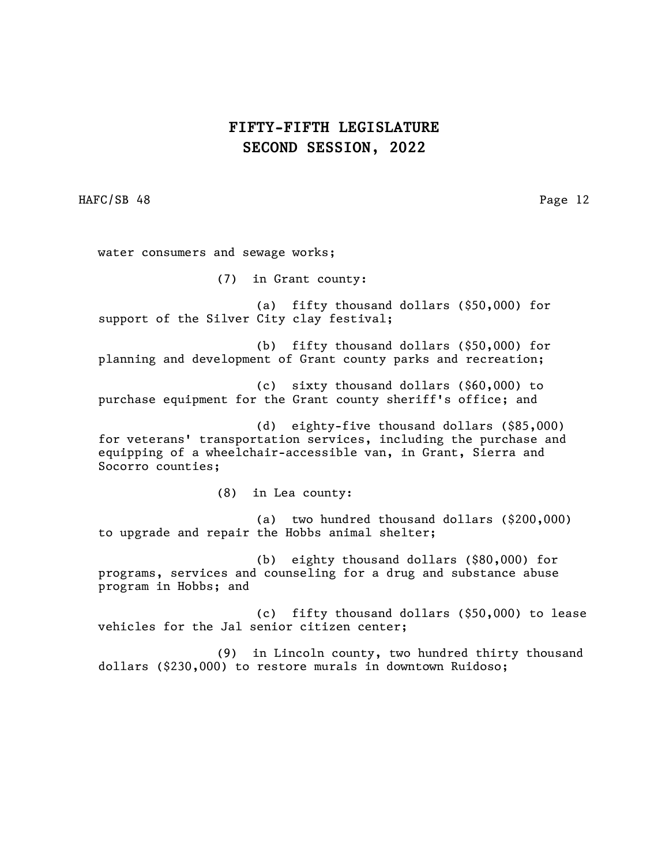HAFC/SB 48 Page 12

water consumers and sewage works;

(7) in Grant county:

(a) fifty thousand dollars (\$50,000) for support of the Silver City clay festival;

(b) fifty thousand dollars (\$50,000) for planning and development of Grant county parks and recreation;

(c) sixty thousand dollars (\$60,000) to purchase equipment for the Grant county sheriff's office; and

(d) eighty-five thousand dollars (\$85,000) for veterans' transportation services, including the purchase and equipping of a wheelchair-accessible van, in Grant, Sierra and Socorro counties;

(8) in Lea county:

(a) two hundred thousand dollars (\$200,000) to upgrade and repair the Hobbs animal shelter;

(b) eighty thousand dollars (\$80,000) for programs, services and counseling for a drug and substance abuse program in Hobbs; and

(c) fifty thousand dollars (\$50,000) to lease vehicles for the Jal senior citizen center;

(9) in Lincoln county, two hundred thirty thousand dollars (\$230,000) to restore murals in downtown Ruidoso;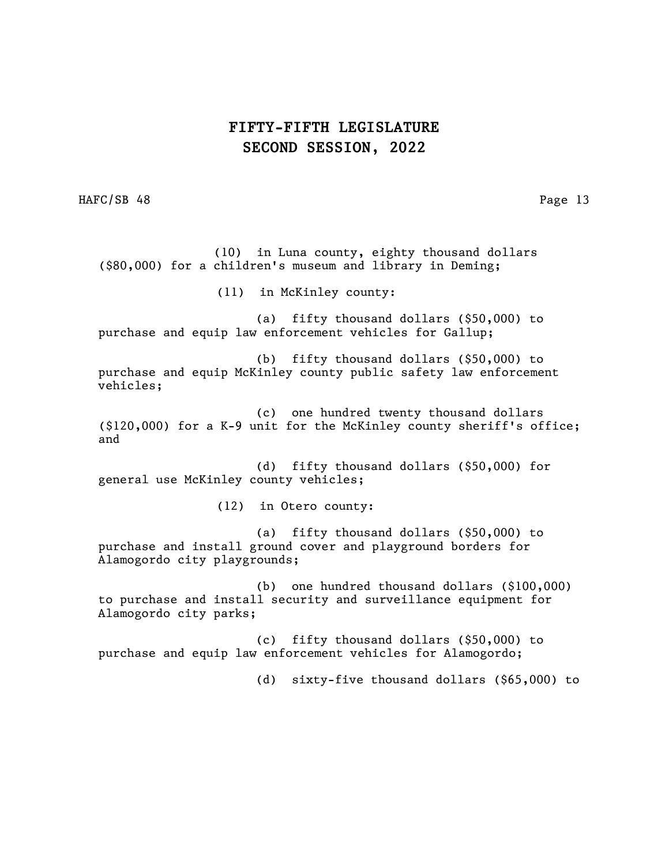HAFC/SB 48 Page 13

 (10) in Luna county, eighty thousand dollars (\$80,000) for a children's museum and library in Deming; (11) in McKinley county: (a) fifty thousand dollars (\$50,000) to purchase and equip law enforcement vehicles for Gallup; (b) fifty thousand dollars (\$50,000) to purchase and equip McKinley county public safety law enforcement vehicles; (c) one hundred twenty thousand dollars (\$120,000) for a K-9 unit for the McKinley county sheriff's office; and (d) fifty thousand dollars (\$50,000) for general use McKinley county vehicles; (12) in Otero county: (a) fifty thousand dollars (\$50,000) to purchase and install ground cover and playground borders for Alamogordo city playgrounds; (b) one hundred thousand dollars (\$100,000) to purchase and install security and surveillance equipment for Alamogordo city parks; (c) fifty thousand dollars (\$50,000) to purchase and equip law enforcement vehicles for Alamogordo; (d) sixty-five thousand dollars (\$65,000) to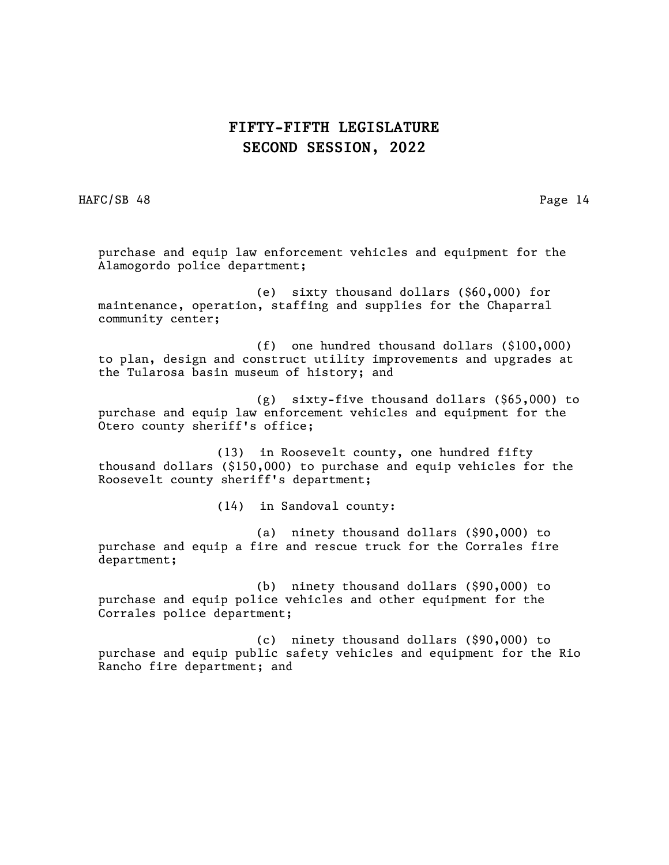HAFC/SB 48 Page 14

purchase and equip law enforcement vehicles and equipment for the Alamogordo police department;

(e) sixty thousand dollars (\$60,000) for maintenance, operation, staffing and supplies for the Chaparral community center;

(f) one hundred thousand dollars (\$100,000) to plan, design and construct utility improvements and upgrades at the Tularosa basin museum of history; and

(g) sixty-five thousand dollars (\$65,000) to purchase and equip law enforcement vehicles and equipment for the Otero county sheriff's office;

 (13) in Roosevelt county, one hundred fifty thousand dollars (\$150,000) to purchase and equip vehicles for the Roosevelt county sheriff's department;

(14) in Sandoval county:

(a) ninety thousand dollars (\$90,000) to purchase and equip a fire and rescue truck for the Corrales fire department;

(b) ninety thousand dollars (\$90,000) to purchase and equip police vehicles and other equipment for the Corrales police department;

(c) ninety thousand dollars (\$90,000) to purchase and equip public safety vehicles and equipment for the Rio Rancho fire department; and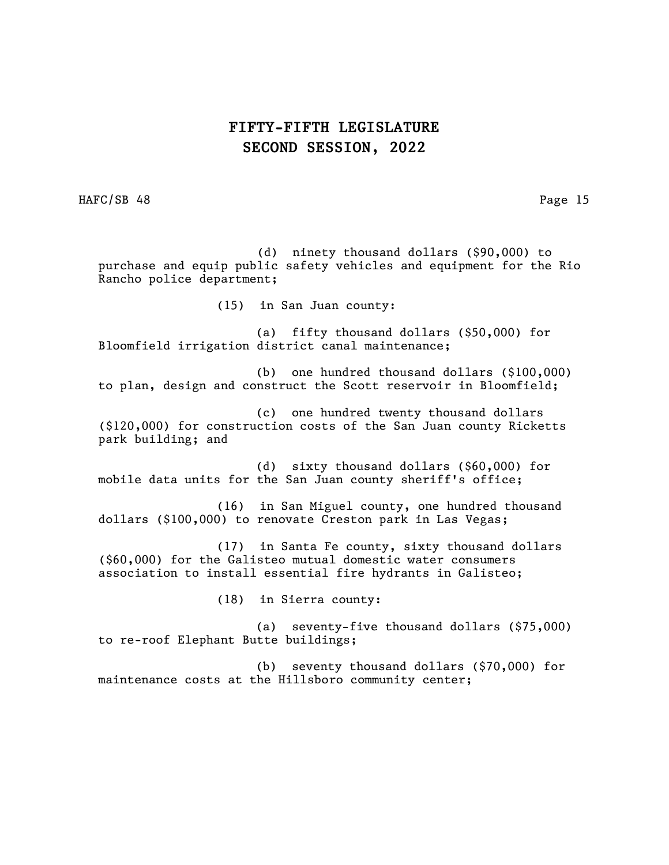HAFC/SB 48 Page 15

 (d) ninety thousand dollars (\$90,000) to purchase and equip public safety vehicles and equipment for the Rio Rancho police department; (15) in San Juan county: (a) fifty thousand dollars (\$50,000) for Bloomfield irrigation district canal maintenance; (b) one hundred thousand dollars (\$100,000) to plan, design and construct the Scott reservoir in Bloomfield; (c) one hundred twenty thousand dollars (\$120,000) for construction costs of the San Juan county Ricketts park building; and (d) sixty thousand dollars (\$60,000) for mobile data units for the San Juan county sheriff's office; (16) in San Miguel county, one hundred thousand dollars (\$100,000) to renovate Creston park in Las Vegas; (17) in Santa Fe county, sixty thousand dollars (\$60,000) for the Galisteo mutual domestic water consumers association to install essential fire hydrants in Galisteo; (18) in Sierra county: (a) seventy-five thousand dollars (\$75,000) to re-roof Elephant Butte buildings; (b) seventy thousand dollars (\$70,000) for maintenance costs at the Hillsboro community center;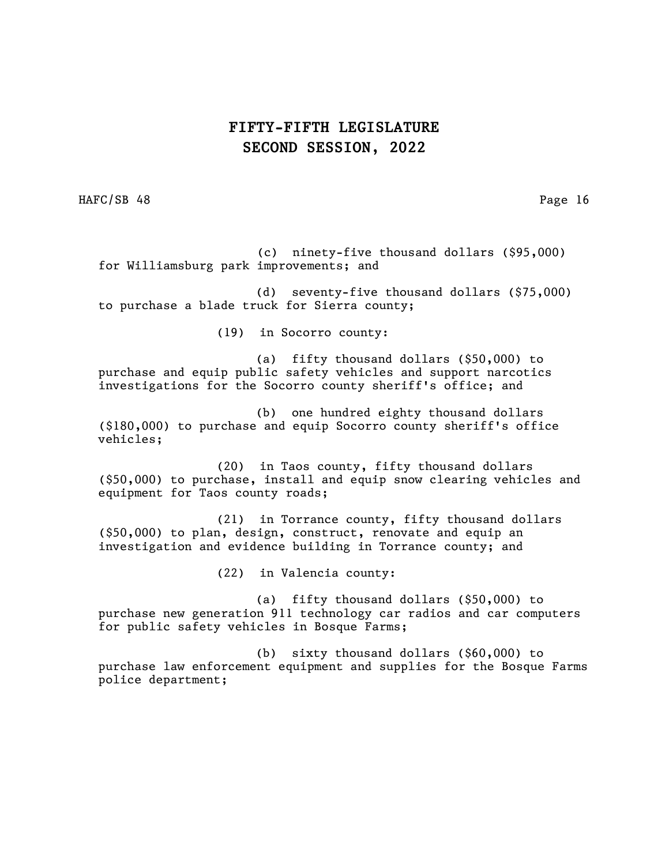HAFC/SB 48 Page 16

 (c) ninety-five thousand dollars (\$95,000) for Williamsburg park improvements; and

(d) seventy-five thousand dollars (\$75,000) to purchase a blade truck for Sierra county;

(19) in Socorro county:

(a) fifty thousand dollars (\$50,000) to purchase and equip public safety vehicles and support narcotics investigations for the Socorro county sheriff's office; and

(b) one hundred eighty thousand dollars (\$180,000) to purchase and equip Socorro county sheriff's office vehicles;

(20) in Taos county, fifty thousand dollars (\$50,000) to purchase, install and equip snow clearing vehicles and equipment for Taos county roads;

(21) in Torrance county, fifty thousand dollars (\$50,000) to plan, design, construct, renovate and equip an investigation and evidence building in Torrance county; and

(22) in Valencia county:

(a) fifty thousand dollars (\$50,000) to purchase new generation 911 technology car radios and car computers for public safety vehicles in Bosque Farms;

(b) sixty thousand dollars (\$60,000) to purchase law enforcement equipment and supplies for the Bosque Farms police department;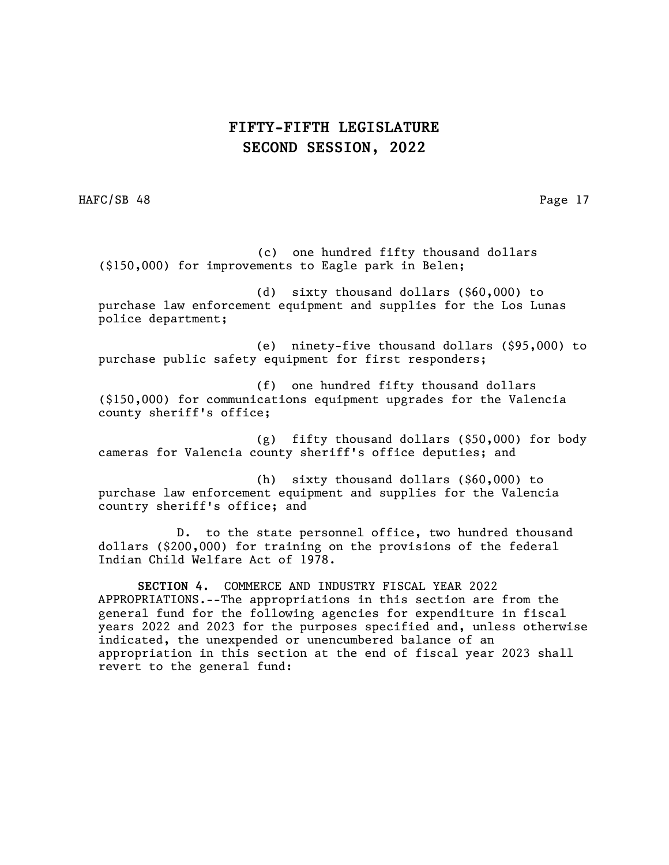HAFC/SB 48 Page 17

 (c) one hundred fifty thousand dollars (\$150,000) for improvements to Eagle park in Belen;

(d) sixty thousand dollars (\$60,000) to purchase law enforcement equipment and supplies for the Los Lunas police department;

(e) ninety-five thousand dollars (\$95,000) to purchase public safety equipment for first responders;

(f) one hundred fifty thousand dollars (\$150,000) for communications equipment upgrades for the Valencia county sheriff's office;

(g) fifty thousand dollars (\$50,000) for body cameras for Valencia county sheriff's office deputies; and

(h) sixty thousand dollars (\$60,000) to purchase law enforcement equipment and supplies for the Valencia country sheriff's office; and

D. to the state personnel office, two hundred thousand dollars (\$200,000) for training on the provisions of the federal Indian Child Welfare Act of 1978.

SECTION 4. COMMERCE AND INDUSTRY FISCAL YEAR 2022 APPROPRIATIONS.--The appropriations in this section are from the general fund for the following agencies for expenditure in fiscal years 2022 and 2023 for the purposes specified and, unless otherwise indicated, the unexpended or unencumbered balance of an appropriation in this section at the end of fiscal year 2023 shall revert to the general fund: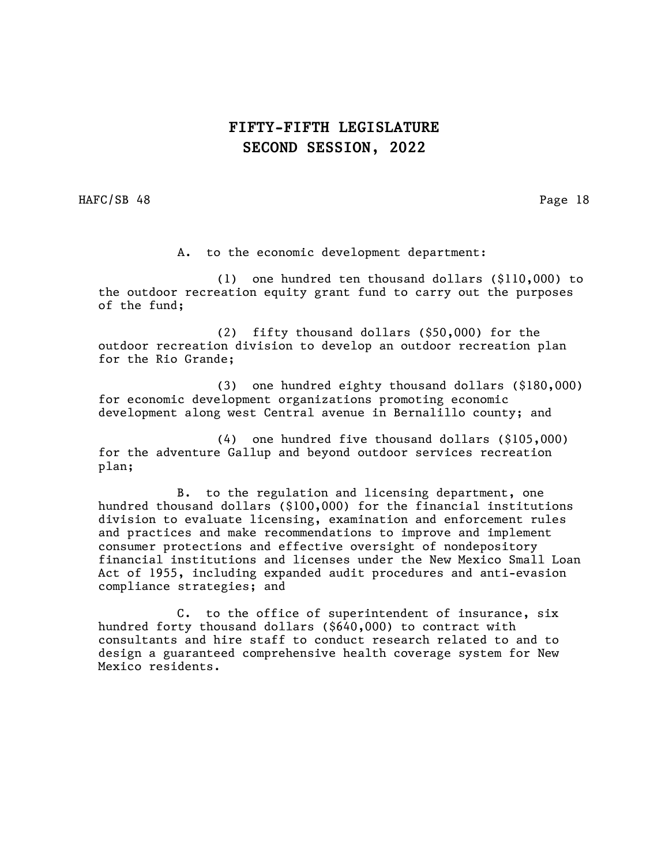HAFC/SB 48 Page 18

A. to the economic development department:

(1) one hundred ten thousand dollars (\$110,000) to the outdoor recreation equity grant fund to carry out the purposes of the fund;

(2) fifty thousand dollars (\$50,000) for the outdoor recreation division to develop an outdoor recreation plan for the Rio Grande;

(3) one hundred eighty thousand dollars (\$180,000) for economic development organizations promoting economic development along west Central avenue in Bernalillo county; and

(4) one hundred five thousand dollars (\$105,000) for the adventure Gallup and beyond outdoor services recreation plan;

B. to the regulation and licensing department, one hundred thousand dollars (\$100,000) for the financial institutions division to evaluate licensing, examination and enforcement rules and practices and make recommendations to improve and implement consumer protections and effective oversight of nondepository financial institutions and licenses under the New Mexico Small Loan Act of 1955, including expanded audit procedures and anti-evasion compliance strategies; and

C. to the office of superintendent of insurance, six hundred forty thousand dollars (\$640,000) to contract with consultants and hire staff to conduct research related to and to design a guaranteed comprehensive health coverage system for New Mexico residents.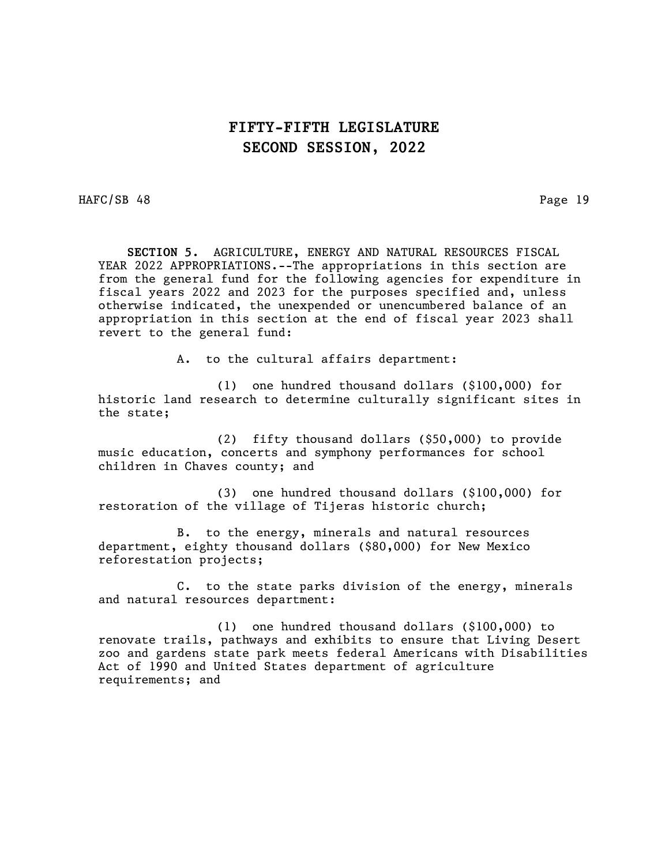HAFC/SB 48 Page 19

 SECTION 5. AGRICULTURE, ENERGY AND NATURAL RESOURCES FISCAL YEAR 2022 APPROPRIATIONS.--The appropriations in this section are from the general fund for the following agencies for expenditure in fiscal years 2022 and 2023 for the purposes specified and, unless otherwise indicated, the unexpended or unencumbered balance of an appropriation in this section at the end of fiscal year 2023 shall revert to the general fund:

A. to the cultural affairs department:

(1) one hundred thousand dollars (\$100,000) for historic land research to determine culturally significant sites in the state;

(2) fifty thousand dollars (\$50,000) to provide music education, concerts and symphony performances for school children in Chaves county; and

(3) one hundred thousand dollars (\$100,000) for restoration of the village of Tijeras historic church;

B. to the energy, minerals and natural resources department, eighty thousand dollars (\$80,000) for New Mexico reforestation projects;

C. to the state parks division of the energy, minerals and natural resources department:

(1) one hundred thousand dollars (\$100,000) to renovate trails, pathways and exhibits to ensure that Living Desert zoo and gardens state park meets federal Americans with Disabilities Act of 1990 and United States department of agriculture requirements; and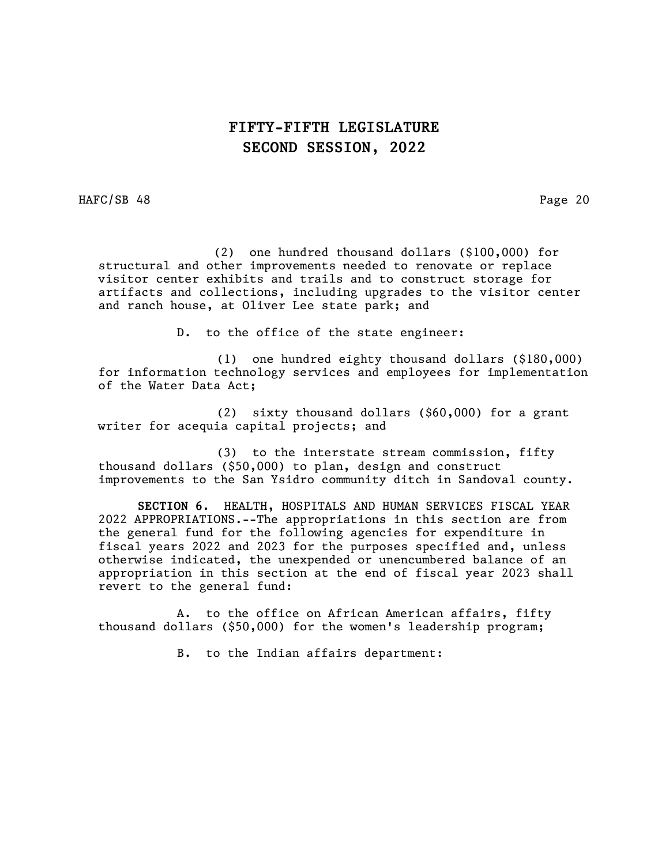HAFC/SB 48 Page 20

 (2) one hundred thousand dollars (\$100,000) for structural and other improvements needed to renovate or replace visitor center exhibits and trails and to construct storage for artifacts and collections, including upgrades to the visitor center and ranch house, at Oliver Lee state park; and

D. to the office of the state engineer:

(1) one hundred eighty thousand dollars (\$180,000) for information technology services and employees for implementation of the Water Data Act;

(2) sixty thousand dollars (\$60,000) for a grant writer for acequia capital projects; and

(3) to the interstate stream commission, fifty thousand dollars (\$50,000) to plan, design and construct improvements to the San Ysidro community ditch in Sandoval county.

SECTION 6. HEALTH, HOSPITALS AND HUMAN SERVICES FISCAL YEAR 2022 APPROPRIATIONS.--The appropriations in this section are from the general fund for the following agencies for expenditure in fiscal years 2022 and 2023 for the purposes specified and, unless otherwise indicated, the unexpended or unencumbered balance of an appropriation in this section at the end of fiscal year 2023 shall revert to the general fund:

A. to the office on African American affairs, fifty thousand dollars (\$50,000) for the women's leadership program;

B. to the Indian affairs department: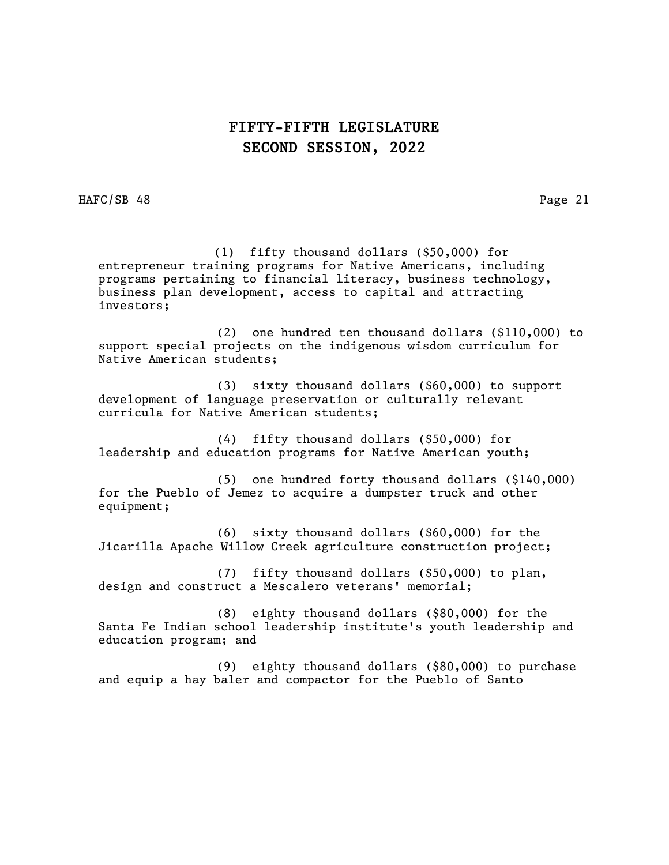HAFC/SB 48 Page 21

 (1) fifty thousand dollars (\$50,000) for entrepreneur training programs for Native Americans, including programs pertaining to financial literacy, business technology, business plan development, access to capital and attracting investors;

(2) one hundred ten thousand dollars (\$110,000) to support special projects on the indigenous wisdom curriculum for Native American students;

(3) sixty thousand dollars (\$60,000) to support development of language preservation or culturally relevant curricula for Native American students;

(4) fifty thousand dollars (\$50,000) for leadership and education programs for Native American youth;

(5) one hundred forty thousand dollars (\$140,000) for the Pueblo of Jemez to acquire a dumpster truck and other equipment;

(6) sixty thousand dollars (\$60,000) for the Jicarilla Apache Willow Creek agriculture construction project;

(7) fifty thousand dollars (\$50,000) to plan, design and construct a Mescalero veterans' memorial;

(8) eighty thousand dollars (\$80,000) for the Santa Fe Indian school leadership institute's youth leadership and education program; and

(9) eighty thousand dollars (\$80,000) to purchase and equip a hay baler and compactor for the Pueblo of Santo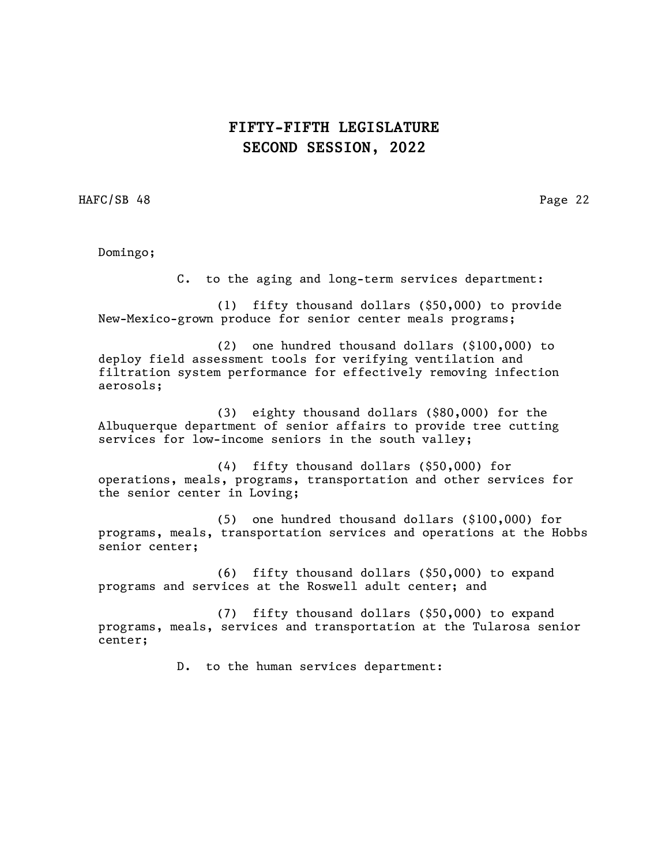HAFC/SB 48 Page 22

Domingo;

C. to the aging and long-term services department:

(1) fifty thousand dollars (\$50,000) to provide New-Mexico-grown produce for senior center meals programs;

(2) one hundred thousand dollars (\$100,000) to deploy field assessment tools for verifying ventilation and filtration system performance for effectively removing infection aerosols;

(3) eighty thousand dollars (\$80,000) for the Albuquerque department of senior affairs to provide tree cutting services for low-income seniors in the south valley;

(4) fifty thousand dollars (\$50,000) for operations, meals, programs, transportation and other services for the senior center in Loving;

(5) one hundred thousand dollars (\$100,000) for programs, meals, transportation services and operations at the Hobbs senior center;

(6) fifty thousand dollars (\$50,000) to expand programs and services at the Roswell adult center; and

(7) fifty thousand dollars (\$50,000) to expand programs, meals, services and transportation at the Tularosa senior center;

D. to the human services department: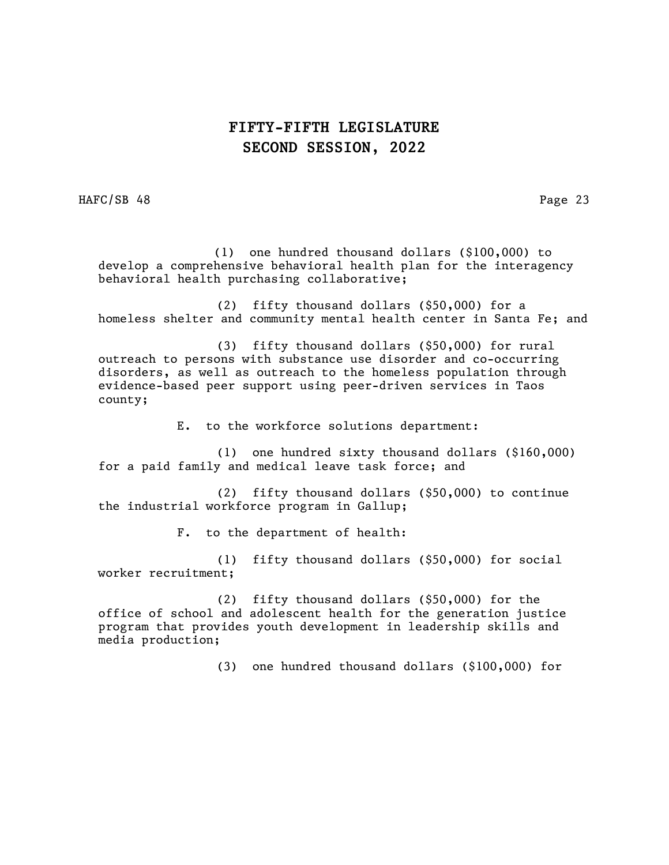HAFC/SB 48 Page 23

 (1) one hundred thousand dollars (\$100,000) to develop a comprehensive behavioral health plan for the interagency behavioral health purchasing collaborative;

(2) fifty thousand dollars (\$50,000) for a homeless shelter and community mental health center in Santa Fe; and

(3) fifty thousand dollars (\$50,000) for rural outreach to persons with substance use disorder and co-occurring disorders, as well as outreach to the homeless population through evidence-based peer support using peer-driven services in Taos county;

E. to the workforce solutions department:

(1) one hundred sixty thousand dollars (\$160,000) for a paid family and medical leave task force; and

(2) fifty thousand dollars (\$50,000) to continue the industrial workforce program in Gallup;

F. to the department of health:

(1) fifty thousand dollars (\$50,000) for social worker recruitment;

(2) fifty thousand dollars (\$50,000) for the office of school and adolescent health for the generation justice program that provides youth development in leadership skills and media production;

(3) one hundred thousand dollars (\$100,000) for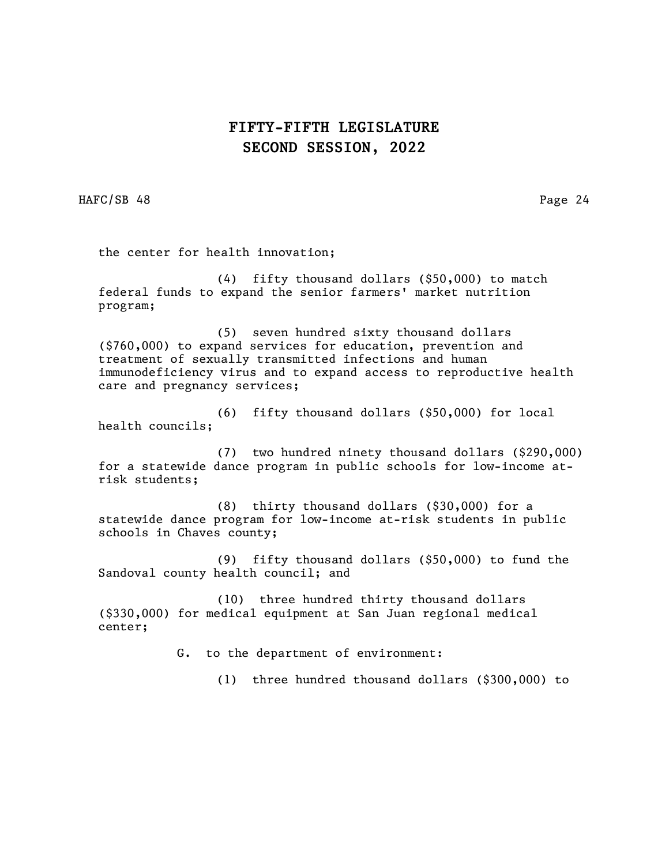HAFC/SB 48 Page 24

the center for health innovation;

(4) fifty thousand dollars (\$50,000) to match federal funds to expand the senior farmers' market nutrition program;

(5) seven hundred sixty thousand dollars (\$760,000) to expand services for education, prevention and treatment of sexually transmitted infections and human immunodeficiency virus and to expand access to reproductive health care and pregnancy services;

(6) fifty thousand dollars (\$50,000) for local health councils;

(7) two hundred ninety thousand dollars (\$290,000) for a statewide dance program in public schools for low-income atrisk students;

(8) thirty thousand dollars (\$30,000) for a statewide dance program for low-income at-risk students in public schools in Chaves county;

(9) fifty thousand dollars (\$50,000) to fund the Sandoval county health council; and

(10) three hundred thirty thousand dollars (\$330,000) for medical equipment at San Juan regional medical center;

G. to the department of environment:

(1) three hundred thousand dollars (\$300,000) to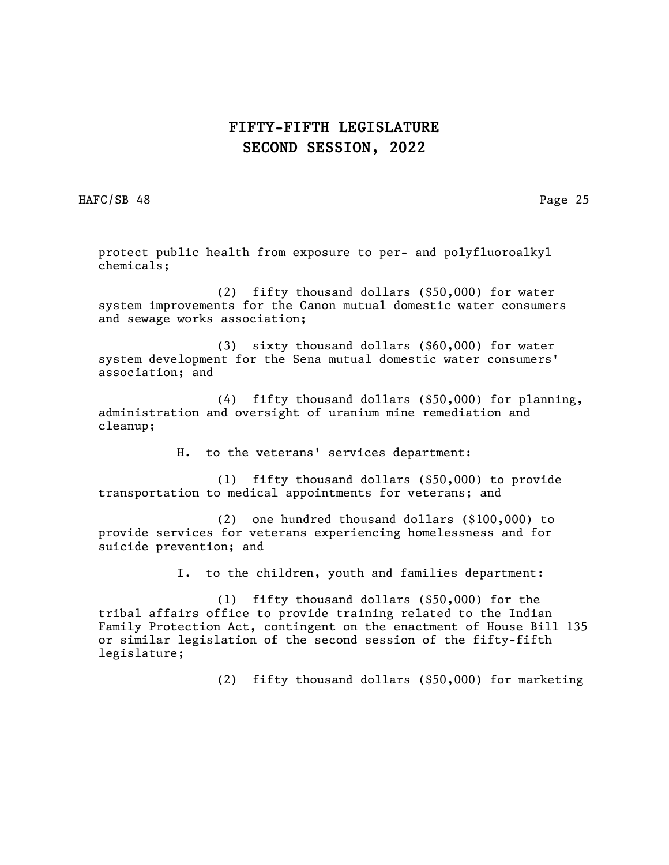HAFC/SB 48 Page 25

protect public health from exposure to per- and polyfluoroalkyl chemicals;

(2) fifty thousand dollars (\$50,000) for water system improvements for the Canon mutual domestic water consumers and sewage works association;

(3) sixty thousand dollars (\$60,000) for water system development for the Sena mutual domestic water consumers' association; and

(4) fifty thousand dollars (\$50,000) for planning, administration and oversight of uranium mine remediation and cleanup;

H. to the veterans' services department:

(1) fifty thousand dollars (\$50,000) to provide transportation to medical appointments for veterans; and

(2) one hundred thousand dollars (\$100,000) to provide services for veterans experiencing homelessness and for suicide prevention; and

I. to the children, youth and families department:

(1) fifty thousand dollars (\$50,000) for the tribal affairs office to provide training related to the Indian Family Protection Act, contingent on the enactment of House Bill 135 or similar legislation of the second session of the fifty-fifth legislature;

(2) fifty thousand dollars (\$50,000) for marketing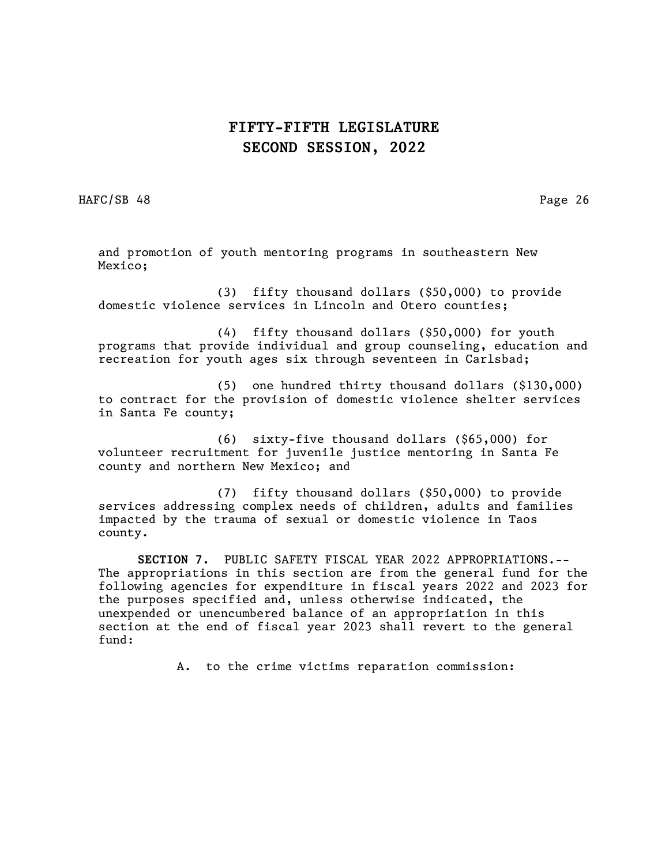HAFC/SB 48 Page 26

and promotion of youth mentoring programs in southeastern New Mexico;

(3) fifty thousand dollars (\$50,000) to provide domestic violence services in Lincoln and Otero counties;

(4) fifty thousand dollars (\$50,000) for youth programs that provide individual and group counseling, education and recreation for youth ages six through seventeen in Carlsbad;

(5) one hundred thirty thousand dollars (\$130,000) to contract for the provision of domestic violence shelter services in Santa Fe county;

(6) sixty-five thousand dollars (\$65,000) for volunteer recruitment for juvenile justice mentoring in Santa Fe county and northern New Mexico; and

(7) fifty thousand dollars (\$50,000) to provide services addressing complex needs of children, adults and families impacted by the trauma of sexual or domestic violence in Taos county.

SECTION 7. PUBLIC SAFETY FISCAL YEAR 2022 APPROPRIATIONS.-- The appropriations in this section are from the general fund for the following agencies for expenditure in fiscal years 2022 and 2023 for the purposes specified and, unless otherwise indicated, the unexpended or unencumbered balance of an appropriation in this section at the end of fiscal year 2023 shall revert to the general fund:

A. to the crime victims reparation commission: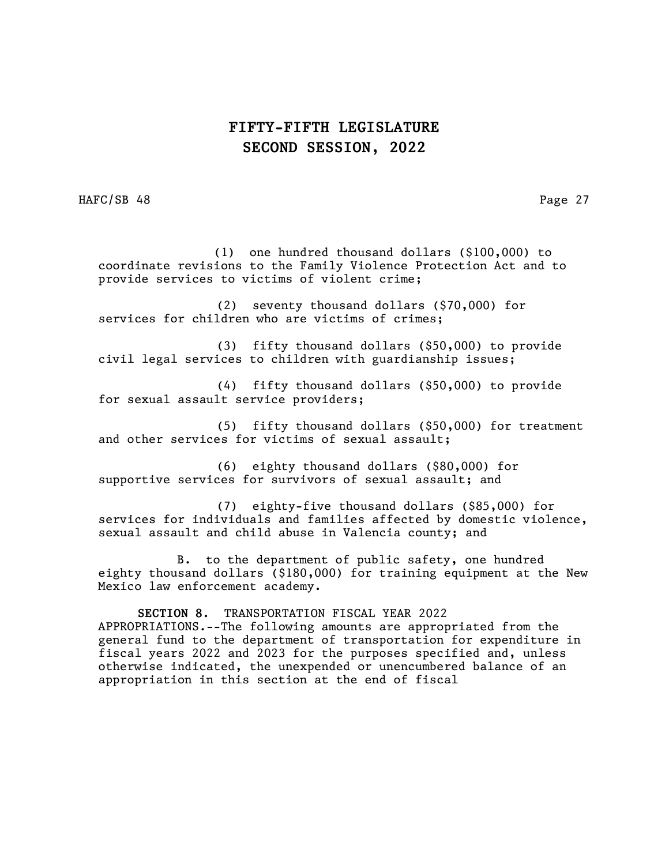HAFC/SB 48 Page 27

 (1) one hundred thousand dollars (\$100,000) to coordinate revisions to the Family Violence Protection Act and to provide services to victims of violent crime;

(2) seventy thousand dollars (\$70,000) for services for children who are victims of crimes;

(3) fifty thousand dollars (\$50,000) to provide civil legal services to children with guardianship issues;

(4) fifty thousand dollars (\$50,000) to provide for sexual assault service providers;

(5) fifty thousand dollars (\$50,000) for treatment and other services for victims of sexual assault;

(6) eighty thousand dollars (\$80,000) for supportive services for survivors of sexual assault; and

(7) eighty-five thousand dollars (\$85,000) for services for individuals and families affected by domestic violence, sexual assault and child abuse in Valencia county; and

B. to the department of public safety, one hundred eighty thousand dollars (\$180,000) for training equipment at the New Mexico law enforcement academy.

SECTION 8. TRANSPORTATION FISCAL YEAR 2022 APPROPRIATIONS.--The following amounts are appropriated from the general fund to the department of transportation for expenditure in fiscal years 2022 and 2023 for the purposes specified and, unless otherwise indicated, the unexpended or unencumbered balance of an appropriation in this section at the end of fiscal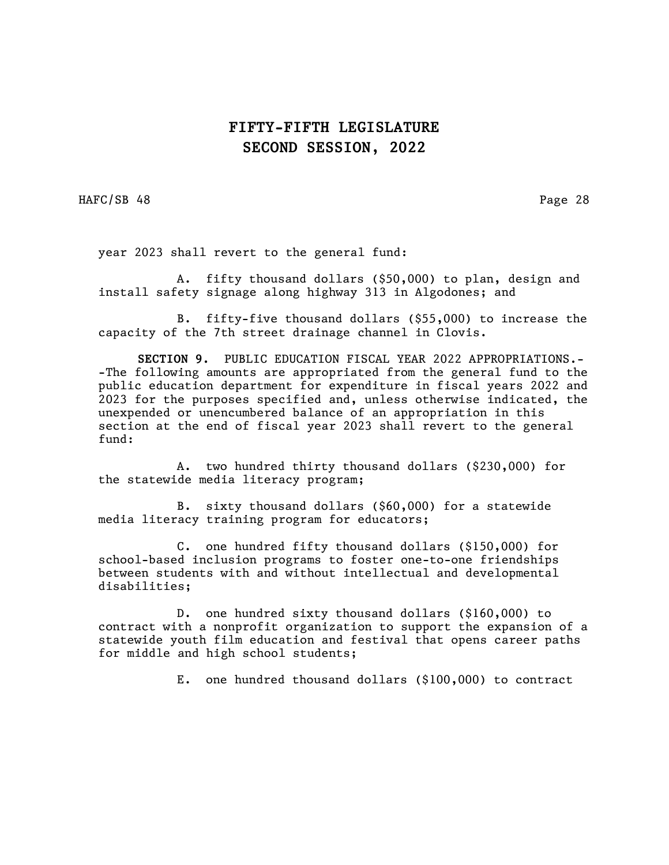HAFC/SB 48 Page 28

year 2023 shall revert to the general fund:

A. fifty thousand dollars (\$50,000) to plan, design and install safety signage along highway 313 in Algodones; and

B. fifty-five thousand dollars (\$55,000) to increase the capacity of the 7th street drainage channel in Clovis.

SECTION 9. PUBLIC EDUCATION FISCAL YEAR 2022 APPROPRIATIONS.- -The following amounts are appropriated from the general fund to the public education department for expenditure in fiscal years 2022 and 2023 for the purposes specified and, unless otherwise indicated, the unexpended or unencumbered balance of an appropriation in this section at the end of fiscal year 2023 shall revert to the general fund:

A. two hundred thirty thousand dollars (\$230,000) for the statewide media literacy program;

B. sixty thousand dollars (\$60,000) for a statewide media literacy training program for educators;

C. one hundred fifty thousand dollars (\$150,000) for school-based inclusion programs to foster one-to-one friendships between students with and without intellectual and developmental disabilities;

D. one hundred sixty thousand dollars (\$160,000) to contract with a nonprofit organization to support the expansion of a statewide youth film education and festival that opens career paths for middle and high school students;

E. one hundred thousand dollars (\$100,000) to contract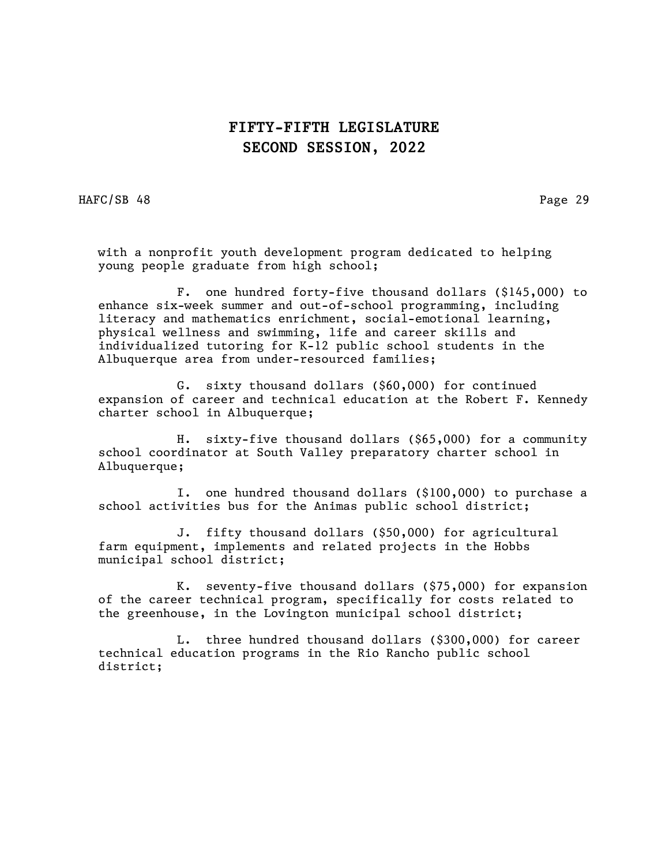HAFC/SB 48 Page 29

with a nonprofit youth development program dedicated to helping young people graduate from high school;

F. one hundred forty-five thousand dollars (\$145,000) to enhance six-week summer and out-of-school programming, including literacy and mathematics enrichment, social-emotional learning, physical wellness and swimming, life and career skills and individualized tutoring for K-12 public school students in the Albuquerque area from under-resourced families;

G. sixty thousand dollars (\$60,000) for continued expansion of career and technical education at the Robert F. Kennedy charter school in Albuquerque;

H. sixty-five thousand dollars (\$65,000) for a community school coordinator at South Valley preparatory charter school in Albuquerque;

I. one hundred thousand dollars (\$100,000) to purchase a school activities bus for the Animas public school district;

J. fifty thousand dollars (\$50,000) for agricultural farm equipment, implements and related projects in the Hobbs municipal school district;

K. seventy-five thousand dollars (\$75,000) for expansion of the career technical program, specifically for costs related to the greenhouse, in the Lovington municipal school district;

L. three hundred thousand dollars (\$300,000) for career technical education programs in the Rio Rancho public school district;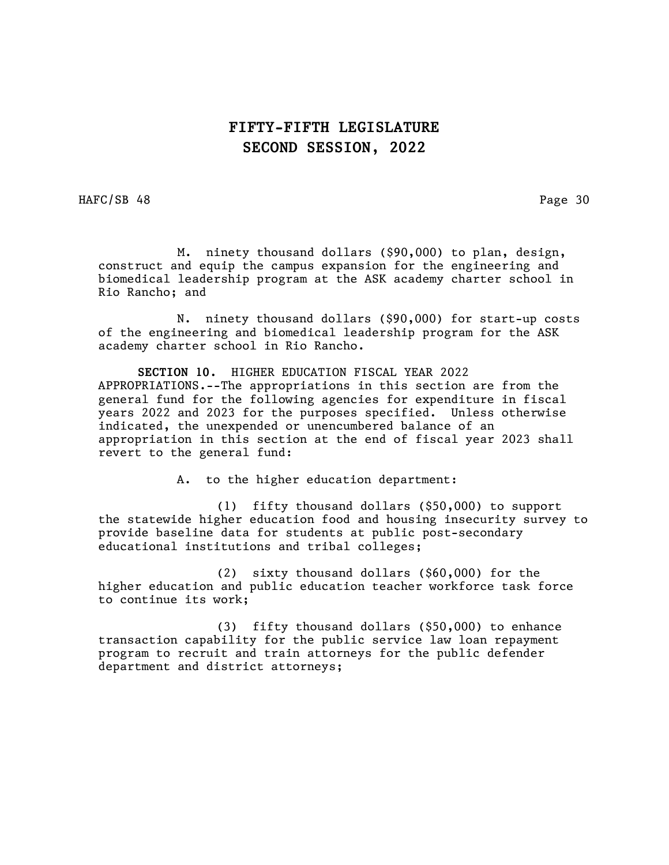HAFC/SB 48 Page 30

 M. ninety thousand dollars (\$90,000) to plan, design, construct and equip the campus expansion for the engineering and biomedical leadership program at the ASK academy charter school in Rio Rancho; and

N. ninety thousand dollars (\$90,000) for start-up costs of the engineering and biomedical leadership program for the ASK academy charter school in Rio Rancho.

SECTION 10. HIGHER EDUCATION FISCAL YEAR 2022 APPROPRIATIONS.--The appropriations in this section are from the general fund for the following agencies for expenditure in fiscal years 2022 and 2023 for the purposes specified. Unless otherwise indicated, the unexpended or unencumbered balance of an appropriation in this section at the end of fiscal year 2023 shall revert to the general fund:

A. to the higher education department:

(1) fifty thousand dollars (\$50,000) to support the statewide higher education food and housing insecurity survey to provide baseline data for students at public post-secondary educational institutions and tribal colleges;

(2) sixty thousand dollars (\$60,000) for the higher education and public education teacher workforce task force to continue its work;

(3) fifty thousand dollars (\$50,000) to enhance transaction capability for the public service law loan repayment program to recruit and train attorneys for the public defender department and district attorneys;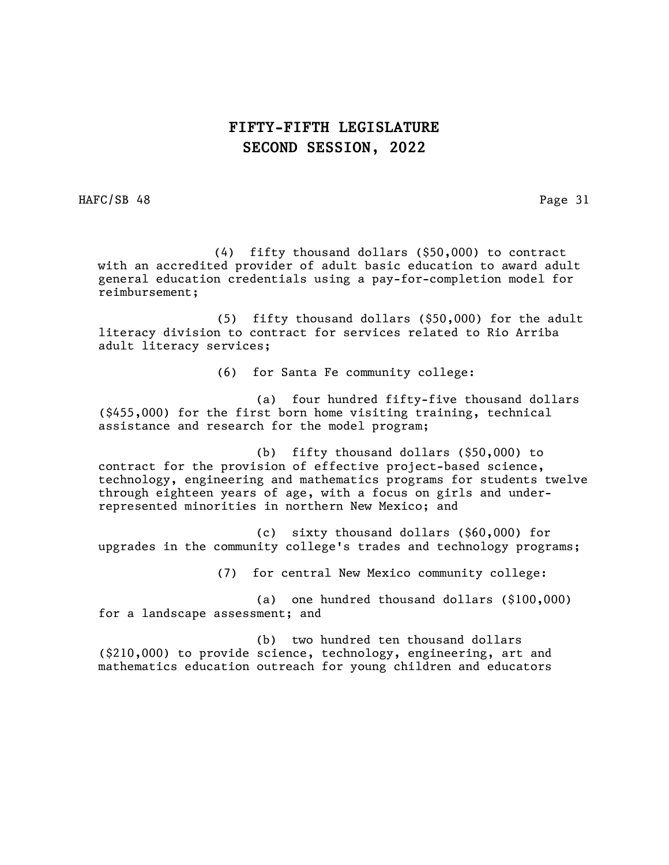HAFC/SB 48 Page 31

 (4) fifty thousand dollars (\$50,000) to contract with an accredited provider of adult basic education to award adult general education credentials using a pay-for-completion model for reimbursement;

(5) fifty thousand dollars (\$50,000) for the adult literacy division to contract for services related to Rio Arriba adult literacy services;

(6) for Santa Fe community college:

(a) four hundred fifty-five thousand dollars (\$455,000) for the first born home visiting training, technical assistance and research for the model program;

(b) fifty thousand dollars (\$50,000) to contract for the provision of effective project-based science, technology, engineering and mathematics programs for students twelve through eighteen years of age, with a focus on girls and underrepresented minorities in northern New Mexico; and

(c) sixty thousand dollars (\$60,000) for upgrades in the community college's trades and technology programs;

(7) for central New Mexico community college:

(a) one hundred thousand dollars (\$100,000) for a landscape assessment; and

(b) two hundred ten thousand dollars (\$210,000) to provide science, technology, engineering, art and mathematics education outreach for young children and educators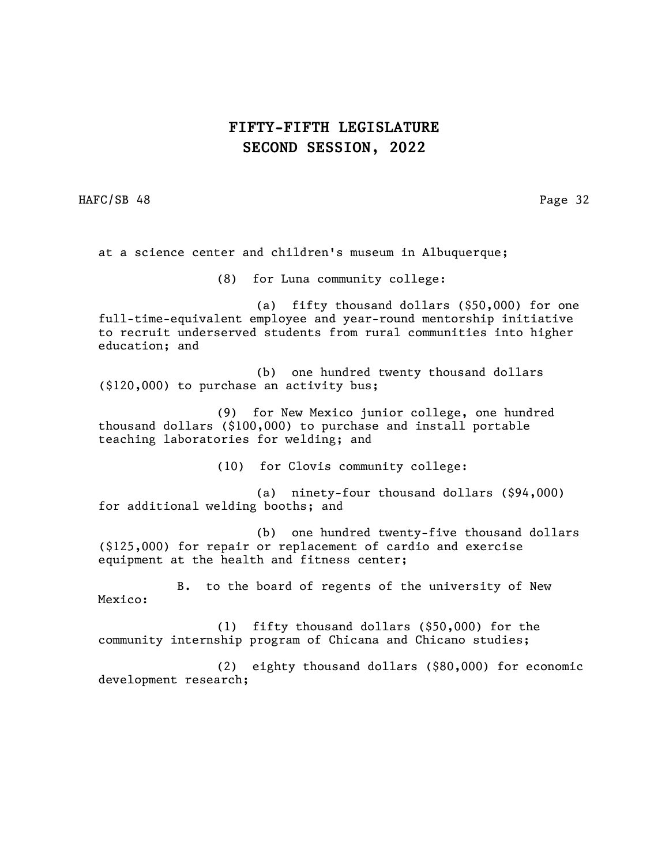HAFC/SB 48 Page 32

at a science center and children's museum in Albuquerque;

(8) for Luna community college:

(a) fifty thousand dollars (\$50,000) for one full-time-equivalent employee and year-round mentorship initiative to recruit underserved students from rural communities into higher education; and

(b) one hundred twenty thousand dollars (\$120,000) to purchase an activity bus;

(9) for New Mexico junior college, one hundred thousand dollars (\$100,000) to purchase and install portable teaching laboratories for welding; and

(10) for Clovis community college:

(a) ninety-four thousand dollars (\$94,000) for additional welding booths; and

(b) one hundred twenty-five thousand dollars (\$125,000) for repair or replacement of cardio and exercise equipment at the health and fitness center;

B. to the board of regents of the university of New Mexico:

(1) fifty thousand dollars (\$50,000) for the community internship program of Chicana and Chicano studies;

(2) eighty thousand dollars (\$80,000) for economic development research;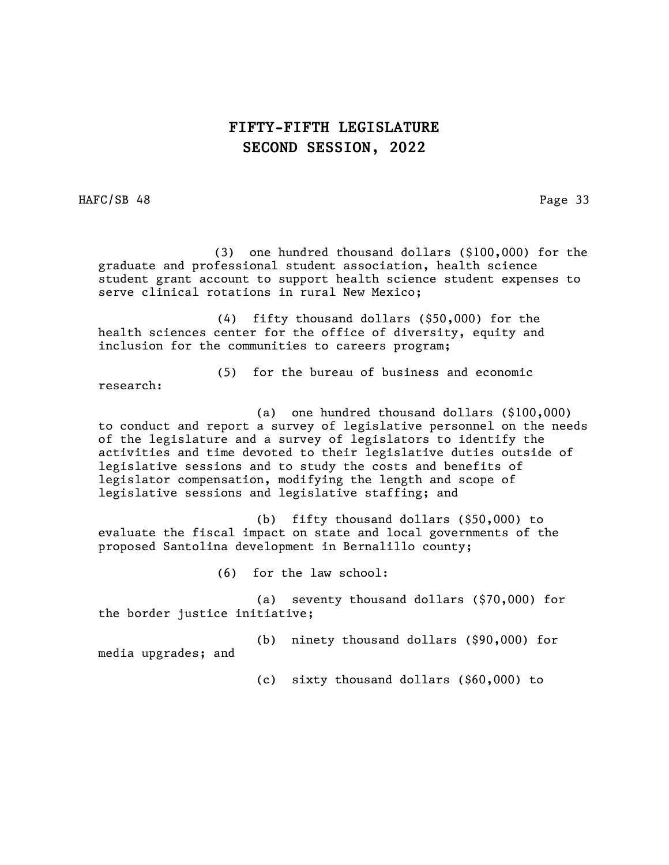HAFC/SB 48 Page 33

 (3) one hundred thousand dollars (\$100,000) for the graduate and professional student association, health science student grant account to support health science student expenses to serve clinical rotations in rural New Mexico;

(4) fifty thousand dollars (\$50,000) for the health sciences center for the office of diversity, equity and inclusion for the communities to careers program;

(5) for the bureau of business and economic

research:

(a) one hundred thousand dollars (\$100,000) to conduct and report a survey of legislative personnel on the needs of the legislature and a survey of legislators to identify the activities and time devoted to their legislative duties outside of legislative sessions and to study the costs and benefits of legislator compensation, modifying the length and scope of legislative sessions and legislative staffing; and

(b) fifty thousand dollars (\$50,000) to evaluate the fiscal impact on state and local governments of the proposed Santolina development in Bernalillo county;

(6) for the law school:

(a) seventy thousand dollars (\$70,000) for the border justice initiative;

(b) ninety thousand dollars (\$90,000) for media upgrades; and

(c) sixty thousand dollars (\$60,000) to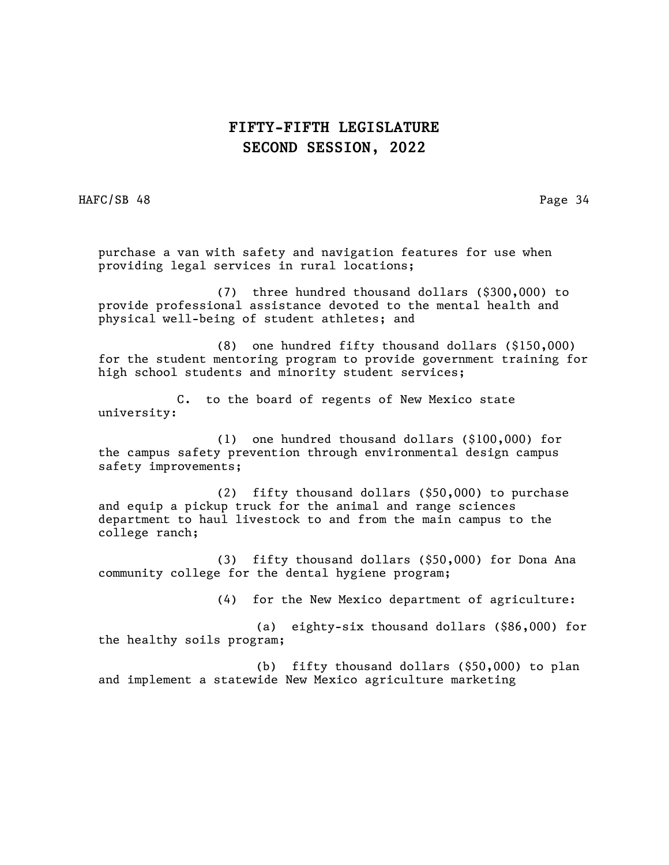HAFC/SB 48 Page 34

purchase a van with safety and navigation features for use when providing legal services in rural locations;

(7) three hundred thousand dollars (\$300,000) to provide professional assistance devoted to the mental health and physical well-being of student athletes; and

(8) one hundred fifty thousand dollars (\$150,000) for the student mentoring program to provide government training for high school students and minority student services;

C. to the board of regents of New Mexico state university:

(1) one hundred thousand dollars (\$100,000) for the campus safety prevention through environmental design campus safety improvements;

(2) fifty thousand dollars (\$50,000) to purchase and equip a pickup truck for the animal and range sciences department to haul livestock to and from the main campus to the college ranch;

(3) fifty thousand dollars (\$50,000) for Dona Ana community college for the dental hygiene program;

(4) for the New Mexico department of agriculture:

(a) eighty-six thousand dollars (\$86,000) for the healthy soils program;

(b) fifty thousand dollars (\$50,000) to plan and implement a statewide New Mexico agriculture marketing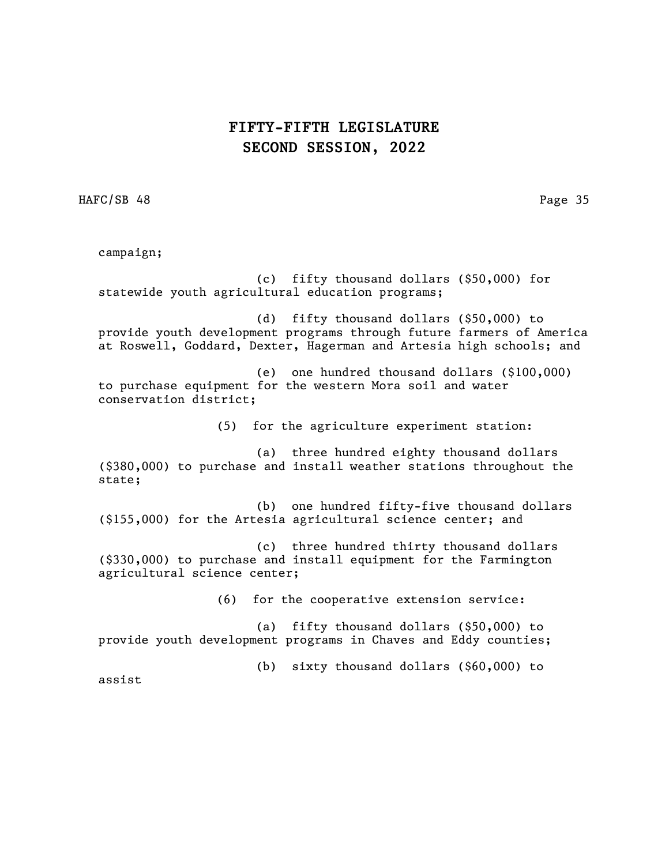HAFC/SB 48 Page 35

campaign; (c) fifty thousand dollars (\$50,000) for statewide youth agricultural education programs; (d) fifty thousand dollars (\$50,000) to provide youth development programs through future farmers of America at Roswell, Goddard, Dexter, Hagerman and Artesia high schools; and (e) one hundred thousand dollars (\$100,000) to purchase equipment for the western Mora soil and water conservation district; (5) for the agriculture experiment station: (a) three hundred eighty thousand dollars (\$380,000) to purchase and install weather stations throughout the state; (b) one hundred fifty-five thousand dollars (\$155,000) for the Artesia agricultural science center; and (c) three hundred thirty thousand dollars (\$330,000) to purchase and install equipment for the Farmington agricultural science center; (6) for the cooperative extension service: (a) fifty thousand dollars (\$50,000) to provide youth development programs in Chaves and Eddy counties; (b) sixty thousand dollars (\$60,000) to assist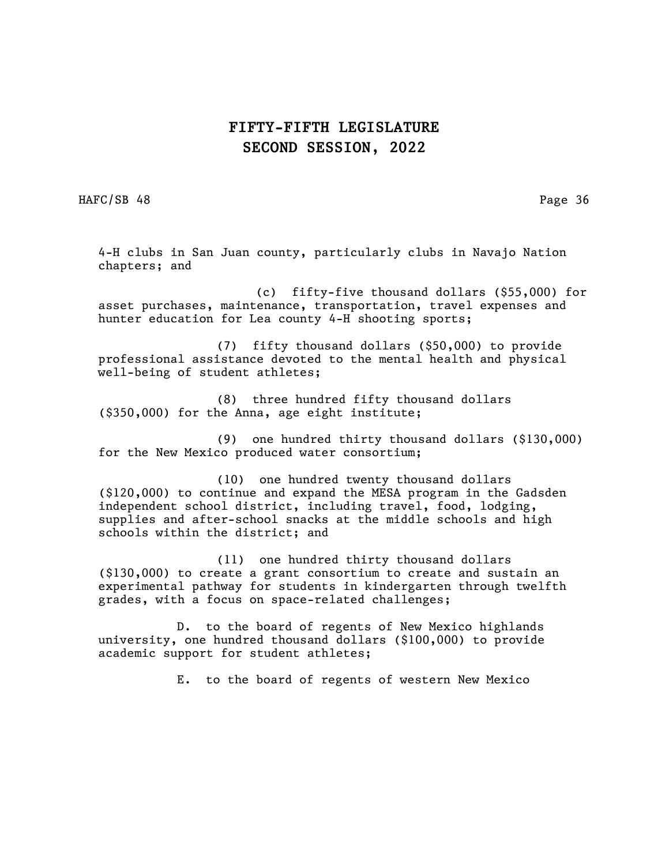HAFC/SB 48 Page 36

4-H clubs in San Juan county, particularly clubs in Navajo Nation chapters; and

(c) fifty-five thousand dollars (\$55,000) for asset purchases, maintenance, transportation, travel expenses and hunter education for Lea county 4-H shooting sports;

(7) fifty thousand dollars (\$50,000) to provide professional assistance devoted to the mental health and physical well-being of student athletes;

(8) three hundred fifty thousand dollars (\$350,000) for the Anna, age eight institute;

(9) one hundred thirty thousand dollars (\$130,000) for the New Mexico produced water consortium;

(10) one hundred twenty thousand dollars (\$120,000) to continue and expand the MESA program in the Gadsden independent school district, including travel, food, lodging, supplies and after-school snacks at the middle schools and high schools within the district; and

(11) one hundred thirty thousand dollars (\$130,000) to create a grant consortium to create and sustain an experimental pathway for students in kindergarten through twelfth grades, with a focus on space-related challenges;

D. to the board of regents of New Mexico highlands university, one hundred thousand dollars (\$100,000) to provide academic support for student athletes;

E. to the board of regents of western New Mexico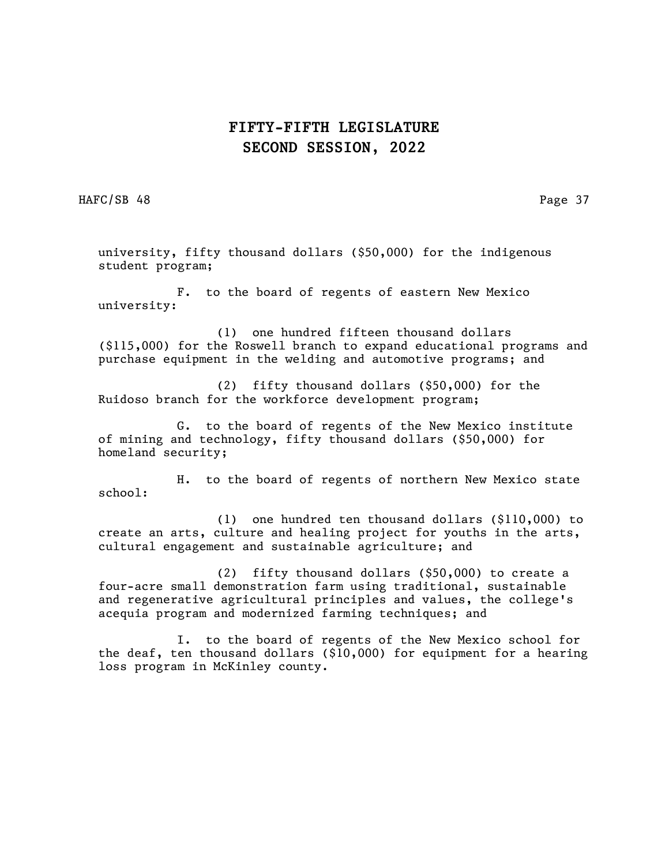HAFC/SB 48 Page 37

university, fifty thousand dollars (\$50,000) for the indigenous student program;

F. to the board of regents of eastern New Mexico university:

(1) one hundred fifteen thousand dollars (\$115,000) for the Roswell branch to expand educational programs and purchase equipment in the welding and automotive programs; and

(2) fifty thousand dollars (\$50,000) for the Ruidoso branch for the workforce development program;

G. to the board of regents of the New Mexico institute of mining and technology, fifty thousand dollars (\$50,000) for homeland security;

H. to the board of regents of northern New Mexico state school:

(1) one hundred ten thousand dollars (\$110,000) to create an arts, culture and healing project for youths in the arts, cultural engagement and sustainable agriculture; and

(2) fifty thousand dollars (\$50,000) to create a four-acre small demonstration farm using traditional, sustainable and regenerative agricultural principles and values, the college's acequia program and modernized farming techniques; and

I. to the board of regents of the New Mexico school for the deaf, ten thousand dollars ( $$10,000$ ) for equipment for a hearing loss program in McKinley county.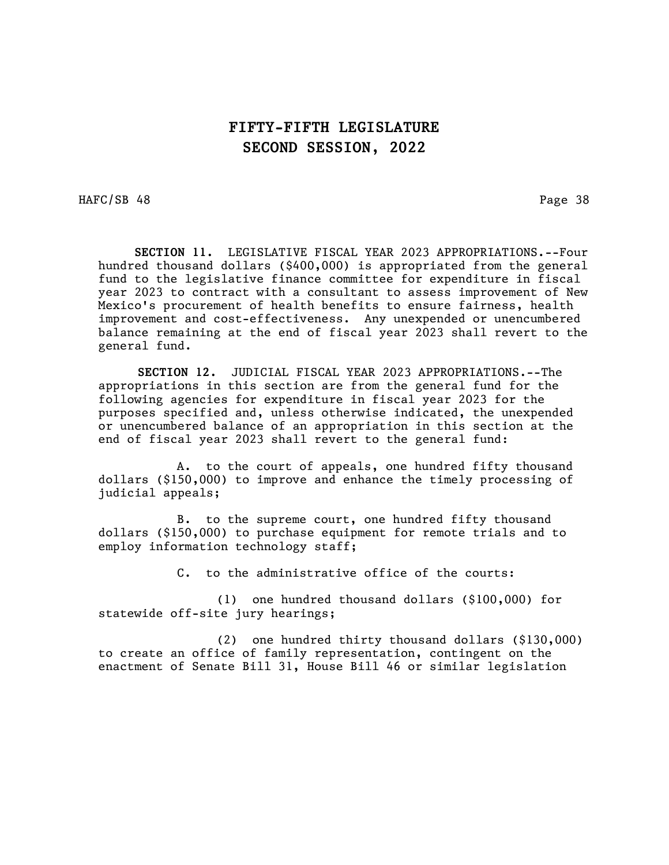HAFC/SB 48 Page 38

 SECTION 11. LEGISLATIVE FISCAL YEAR 2023 APPROPRIATIONS.--Four hundred thousand dollars (\$400,000) is appropriated from the general fund to the legislative finance committee for expenditure in fiscal year 2023 to contract with a consultant to assess improvement of New Mexico's procurement of health benefits to ensure fairness, health improvement and cost-effectiveness. Any unexpended or unencumbered balance remaining at the end of fiscal year 2023 shall revert to the general fund.

SECTION 12. JUDICIAL FISCAL YEAR 2023 APPROPRIATIONS.--The appropriations in this section are from the general fund for the following agencies for expenditure in fiscal year 2023 for the purposes specified and, unless otherwise indicated, the unexpended or unencumbered balance of an appropriation in this section at the end of fiscal year 2023 shall revert to the general fund:

A. to the court of appeals, one hundred fifty thousand dollars (\$150,000) to improve and enhance the timely processing of judicial appeals;

B. to the supreme court, one hundred fifty thousand dollars (\$150,000) to purchase equipment for remote trials and to employ information technology staff;

C. to the administrative office of the courts:

(1) one hundred thousand dollars (\$100,000) for statewide off-site jury hearings;

(2) one hundred thirty thousand dollars (\$130,000) to create an office of family representation, contingent on the enactment of Senate Bill 31, House Bill 46 or similar legislation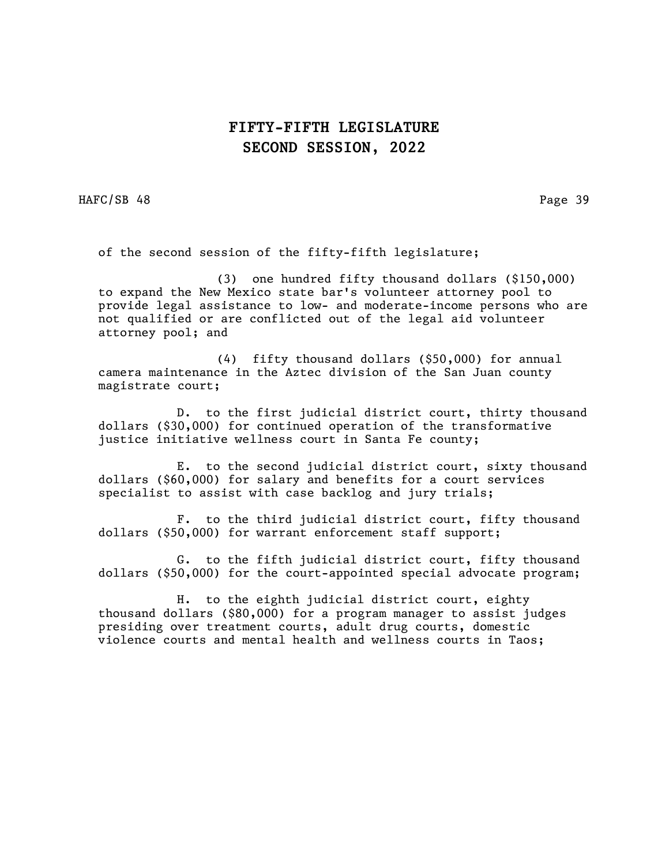HAFC/SB 48 Page 39

of the second session of the fifty-fifth legislature;

(3) one hundred fifty thousand dollars (\$150,000) to expand the New Mexico state bar's volunteer attorney pool to provide legal assistance to low- and moderate-income persons who are not qualified or are conflicted out of the legal aid volunteer attorney pool; and

(4) fifty thousand dollars (\$50,000) for annual camera maintenance in the Aztec division of the San Juan county magistrate court;

D. to the first judicial district court, thirty thousand dollars (\$30,000) for continued operation of the transformative justice initiative wellness court in Santa Fe county;

E. to the second judicial district court, sixty thousand dollars (\$60,000) for salary and benefits for a court services specialist to assist with case backlog and jury trials;

F. to the third judicial district court, fifty thousand dollars (\$50,000) for warrant enforcement staff support;

G. to the fifth judicial district court, fifty thousand dollars (\$50,000) for the court-appointed special advocate program;

H. to the eighth judicial district court, eighty thousand dollars (\$80,000) for a program manager to assist judges presiding over treatment courts, adult drug courts, domestic violence courts and mental health and wellness courts in Taos;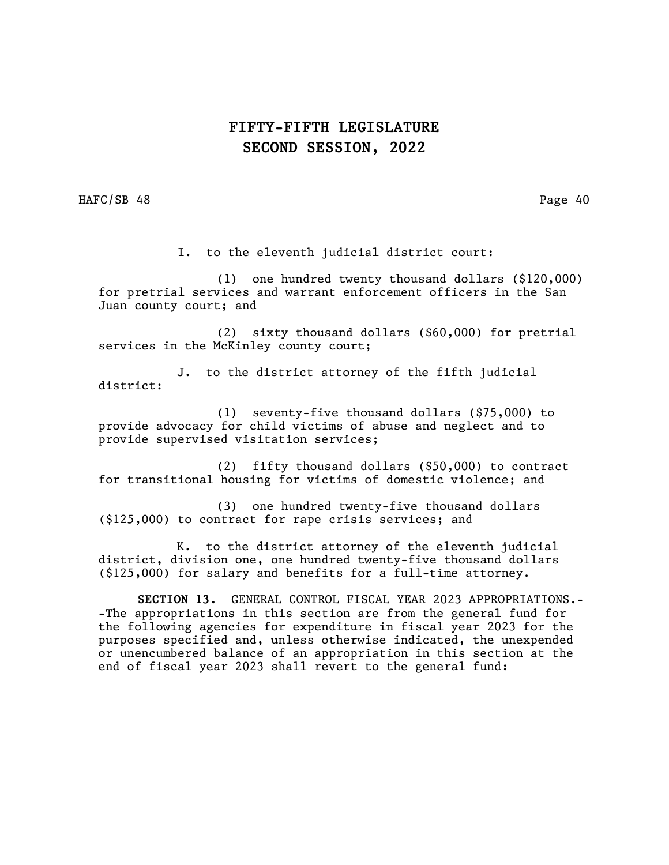HAFC/SB 48 Page 40

I. to the eleventh judicial district court:

(1) one hundred twenty thousand dollars (\$120,000) for pretrial services and warrant enforcement officers in the San Juan county court; and

(2) sixty thousand dollars (\$60,000) for pretrial services in the McKinley county court;

J. to the district attorney of the fifth judicial district:

(1) seventy-five thousand dollars (\$75,000) to provide advocacy for child victims of abuse and neglect and to provide supervised visitation services;

(2) fifty thousand dollars (\$50,000) to contract for transitional housing for victims of domestic violence; and

(3) one hundred twenty-five thousand dollars (\$125,000) to contract for rape crisis services; and

K. to the district attorney of the eleventh judicial district, division one, one hundred twenty-five thousand dollars (\$125,000) for salary and benefits for a full-time attorney.

SECTION 13. GENERAL CONTROL FISCAL YEAR 2023 APPROPRIATIONS.- -The appropriations in this section are from the general fund for the following agencies for expenditure in fiscal year 2023 for the purposes specified and, unless otherwise indicated, the unexpended or unencumbered balance of an appropriation in this section at the end of fiscal year 2023 shall revert to the general fund: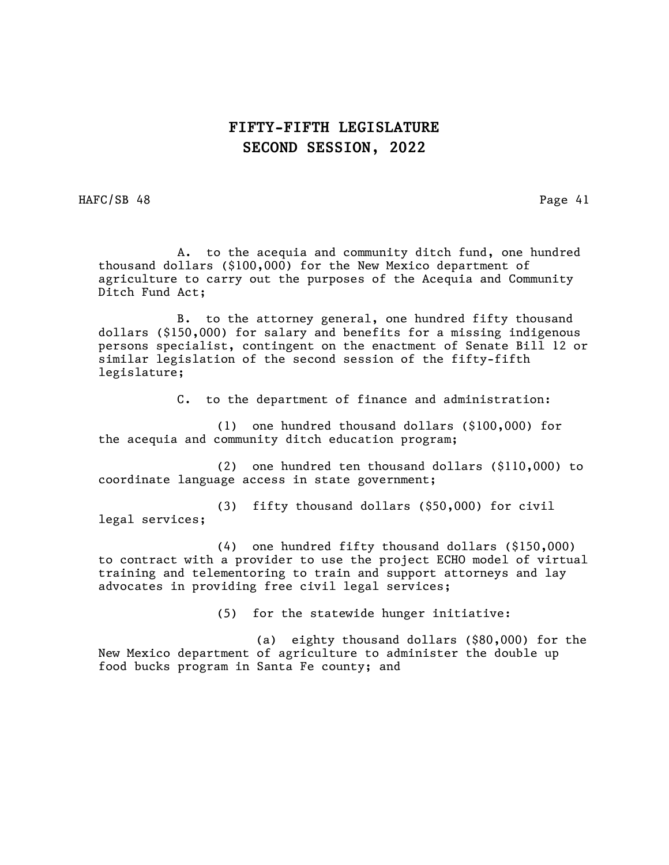HAFC/SB 48 Page 41

 A. to the acequia and community ditch fund, one hundred thousand dollars (\$100,000) for the New Mexico department of agriculture to carry out the purposes of the Acequia and Community Ditch Fund Act;

B. to the attorney general, one hundred fifty thousand dollars (\$150,000) for salary and benefits for a missing indigenous persons specialist, contingent on the enactment of Senate Bill 12 or similar legislation of the second session of the fifty-fifth legislature;

C. to the department of finance and administration:

(1) one hundred thousand dollars (\$100,000) for the acequia and community ditch education program;

(2) one hundred ten thousand dollars (\$110,000) to coordinate language access in state government;

(3) fifty thousand dollars (\$50,000) for civil legal services;

(4) one hundred fifty thousand dollars (\$150,000) to contract with a provider to use the project ECHO model of virtual training and telementoring to train and support attorneys and lay advocates in providing free civil legal services;

(5) for the statewide hunger initiative:

(a) eighty thousand dollars (\$80,000) for the New Mexico department of agriculture to administer the double up food bucks program in Santa Fe county; and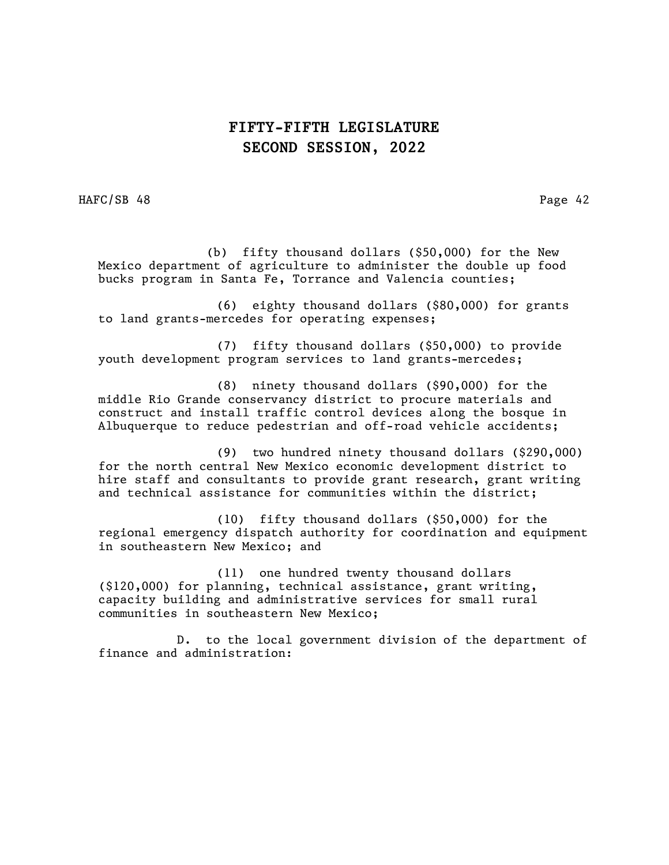HAFC/SB 48 Page 42

 (b) fifty thousand dollars (\$50,000) for the New Mexico department of agriculture to administer the double up food bucks program in Santa Fe, Torrance and Valencia counties;

(6) eighty thousand dollars (\$80,000) for grants to land grants-mercedes for operating expenses;

(7) fifty thousand dollars (\$50,000) to provide youth development program services to land grants-mercedes;

(8) ninety thousand dollars (\$90,000) for the middle Rio Grande conservancy district to procure materials and construct and install traffic control devices along the bosque in Albuquerque to reduce pedestrian and off-road vehicle accidents;

(9) two hundred ninety thousand dollars (\$290,000) for the north central New Mexico economic development district to hire staff and consultants to provide grant research, grant writing and technical assistance for communities within the district;

(10) fifty thousand dollars (\$50,000) for the regional emergency dispatch authority for coordination and equipment in southeastern New Mexico; and

(11) one hundred twenty thousand dollars (\$120,000) for planning, technical assistance, grant writing, capacity building and administrative services for small rural communities in southeastern New Mexico;

D. to the local government division of the department of finance and administration: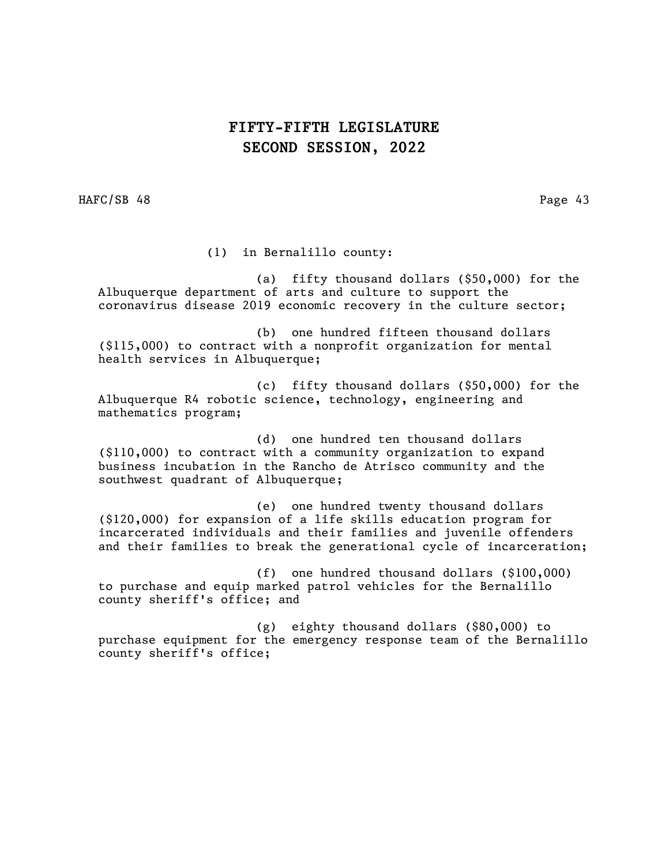HAFC/SB 48 Page 43

(1) in Bernalillo county:

(a) fifty thousand dollars (\$50,000) for the Albuquerque department of arts and culture to support the coronavirus disease 2019 economic recovery in the culture sector;

(b) one hundred fifteen thousand dollars (\$115,000) to contract with a nonprofit organization for mental health services in Albuquerque;

(c) fifty thousand dollars (\$50,000) for the Albuquerque R4 robotic science, technology, engineering and mathematics program;

(d) one hundred ten thousand dollars (\$110,000) to contract with a community organization to expand business incubation in the Rancho de Atrisco community and the southwest quadrant of Albuquerque;

(e) one hundred twenty thousand dollars (\$120,000) for expansion of a life skills education program for incarcerated individuals and their families and juvenile offenders and their families to break the generational cycle of incarceration;

(f) one hundred thousand dollars (\$100,000) to purchase and equip marked patrol vehicles for the Bernalillo county sheriff's office; and

(g) eighty thousand dollars (\$80,000) to purchase equipment for the emergency response team of the Bernalillo county sheriff's office;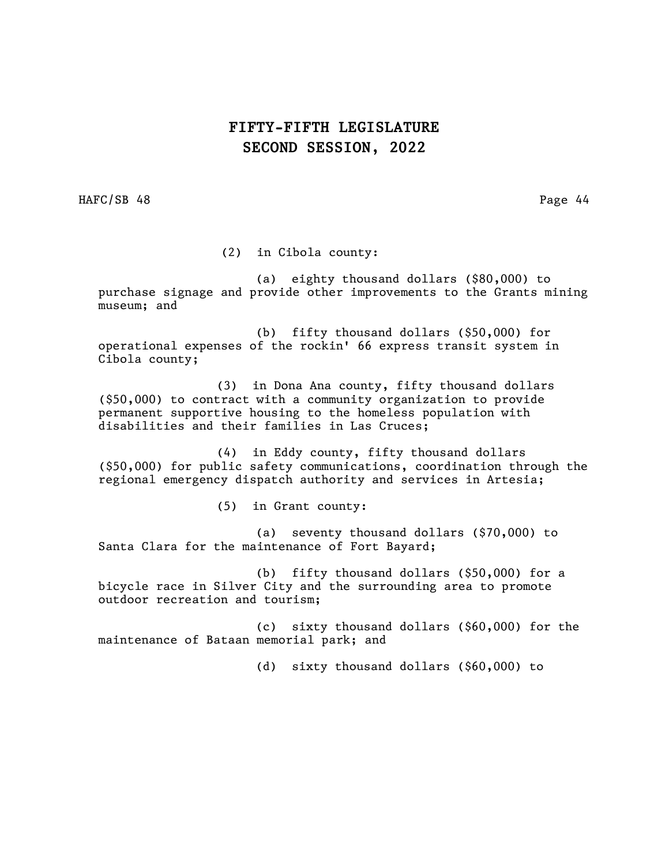HAFC/SB 48 Page 44

(2) in Cibola county:

(a) eighty thousand dollars (\$80,000) to purchase signage and provide other improvements to the Grants mining museum; and

(b) fifty thousand dollars (\$50,000) for operational expenses of the rockin' 66 express transit system in Cibola county;

(3) in Dona Ana county, fifty thousand dollars (\$50,000) to contract with a community organization to provide permanent supportive housing to the homeless population with disabilities and their families in Las Cruces;

(4) in Eddy county, fifty thousand dollars (\$50,000) for public safety communications, coordination through the regional emergency dispatch authority and services in Artesia;

(5) in Grant county:

(a) seventy thousand dollars (\$70,000) to Santa Clara for the maintenance of Fort Bayard;

(b) fifty thousand dollars (\$50,000) for a bicycle race in Silver City and the surrounding area to promote outdoor recreation and tourism;

(c) sixty thousand dollars (\$60,000) for the maintenance of Bataan memorial park; and

(d) sixty thousand dollars (\$60,000) to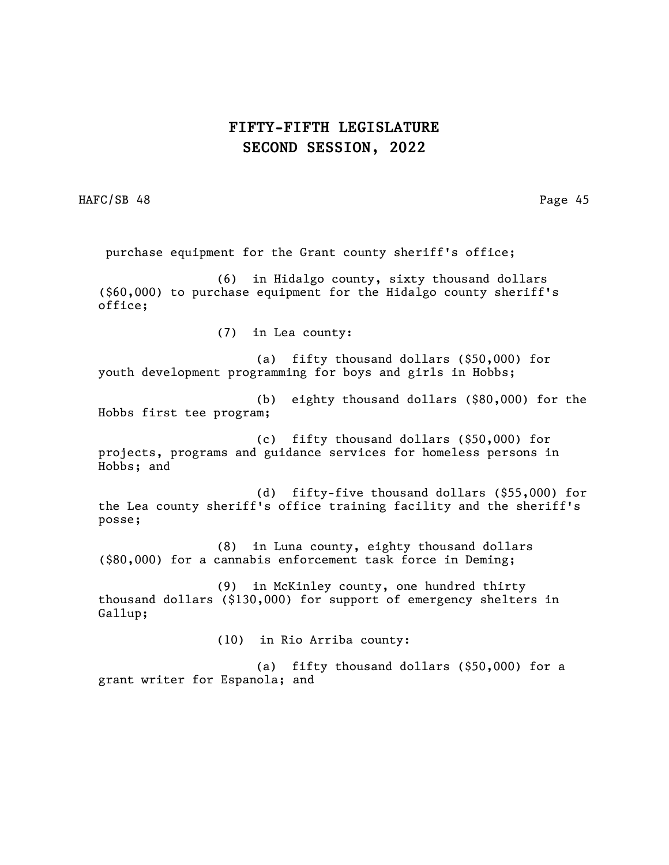HAFC/SB 48 Page 45

purchase equipment for the Grant county sheriff's office;

(6) in Hidalgo county, sixty thousand dollars (\$60,000) to purchase equipment for the Hidalgo county sheriff's office;

(7) in Lea county:

(a) fifty thousand dollars (\$50,000) for youth development programming for boys and girls in Hobbs;

(b) eighty thousand dollars (\$80,000) for the Hobbs first tee program;

(c) fifty thousand dollars (\$50,000) for projects, programs and guidance services for homeless persons in Hobbs; and

(d) fifty-five thousand dollars (\$55,000) for the Lea county sheriff's office training facility and the sheriff's posse;

(8) in Luna county, eighty thousand dollars (\$80,000) for a cannabis enforcement task force in Deming;

(9) in McKinley county, one hundred thirty thousand dollars (\$130,000) for support of emergency shelters in Gallup;

(10) in Rio Arriba county:

(a) fifty thousand dollars (\$50,000) for a grant writer for Espanola; and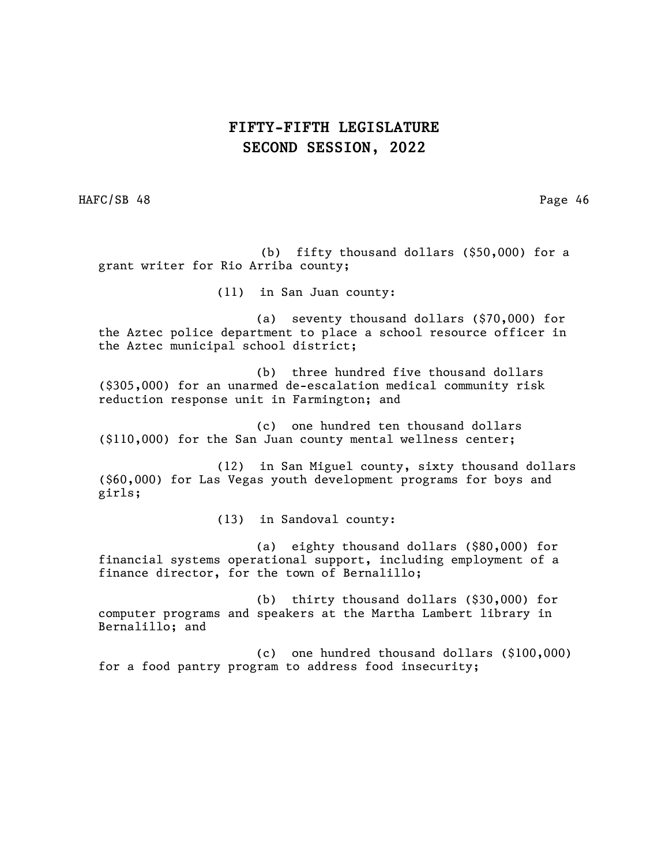HAFC/SB 48 Page 46

 (b) fifty thousand dollars (\$50,000) for a grant writer for Rio Arriba county;

(11) in San Juan county:

(a) seventy thousand dollars (\$70,000) for the Aztec police department to place a school resource officer in the Aztec municipal school district;

(b) three hundred five thousand dollars (\$305,000) for an unarmed de-escalation medical community risk reduction response unit in Farmington; and

(c) one hundred ten thousand dollars (\$110,000) for the San Juan county mental wellness center;

(12) in San Miguel county, sixty thousand dollars (\$60,000) for Las Vegas youth development programs for boys and girls;

(13) in Sandoval county:

(a) eighty thousand dollars (\$80,000) for financial systems operational support, including employment of a finance director, for the town of Bernalillo;

(b) thirty thousand dollars (\$30,000) for computer programs and speakers at the Martha Lambert library in Bernalillo; and

(c) one hundred thousand dollars (\$100,000) for a food pantry program to address food insecurity;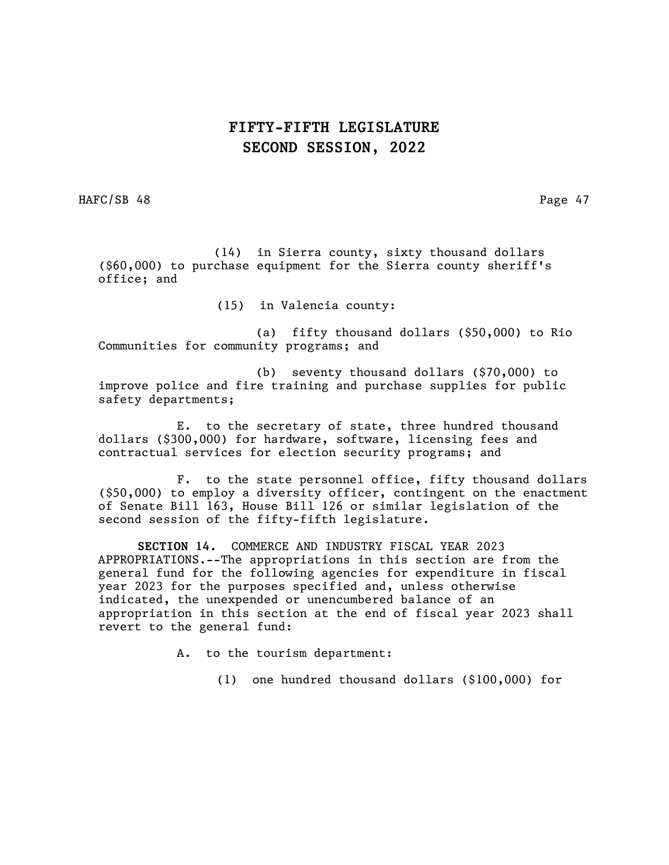HAFC/SB 48 Page 47

 (14) in Sierra county, sixty thousand dollars (\$60,000) to purchase equipment for the Sierra county sheriff's office; and

(15) in Valencia county:

(a) fifty thousand dollars (\$50,000) to Rio Communities for community programs; and

(b) seventy thousand dollars (\$70,000) to improve police and fire training and purchase supplies for public safety departments;

E. to the secretary of state, three hundred thousand dollars (\$300,000) for hardware, software, licensing fees and contractual services for election security programs; and

F. to the state personnel office, fifty thousand dollars (\$50,000) to employ a diversity officer, contingent on the enactment of Senate Bill 163, House Bill 126 or similar legislation of the second session of the fifty-fifth legislature.

SECTION 14. COMMERCE AND INDUSTRY FISCAL YEAR 2023 APPROPRIATIONS.--The appropriations in this section are from the general fund for the following agencies for expenditure in fiscal year 2023 for the purposes specified and, unless otherwise indicated, the unexpended or unencumbered balance of an appropriation in this section at the end of fiscal year 2023 shall revert to the general fund:

A. to the tourism department:

(1) one hundred thousand dollars (\$100,000) for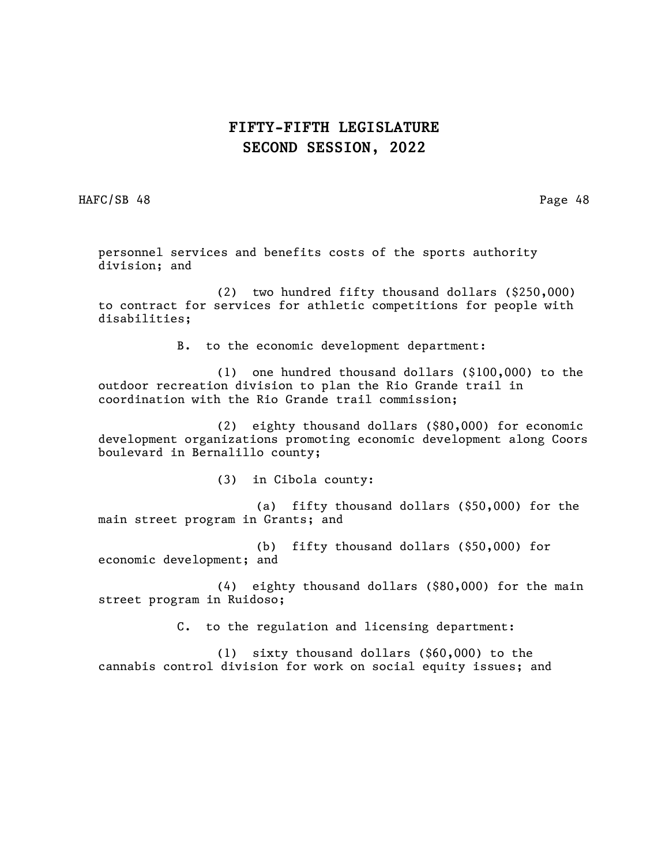HAFC/SB 48 Page 48

personnel services and benefits costs of the sports authority division; and

(2) two hundred fifty thousand dollars (\$250,000) to contract for services for athletic competitions for people with disabilities;

B. to the economic development department:

(1) one hundred thousand dollars (\$100,000) to the outdoor recreation division to plan the Rio Grande trail in coordination with the Rio Grande trail commission;

(2) eighty thousand dollars (\$80,000) for economic development organizations promoting economic development along Coors boulevard in Bernalillo county;

(3) in Cibola county:

(a) fifty thousand dollars (\$50,000) for the main street program in Grants; and

(b) fifty thousand dollars (\$50,000) for economic development; and

(4) eighty thousand dollars (\$80,000) for the main street program in Ruidoso;

C. to the regulation and licensing department:

(1) sixty thousand dollars (\$60,000) to the cannabis control division for work on social equity issues; and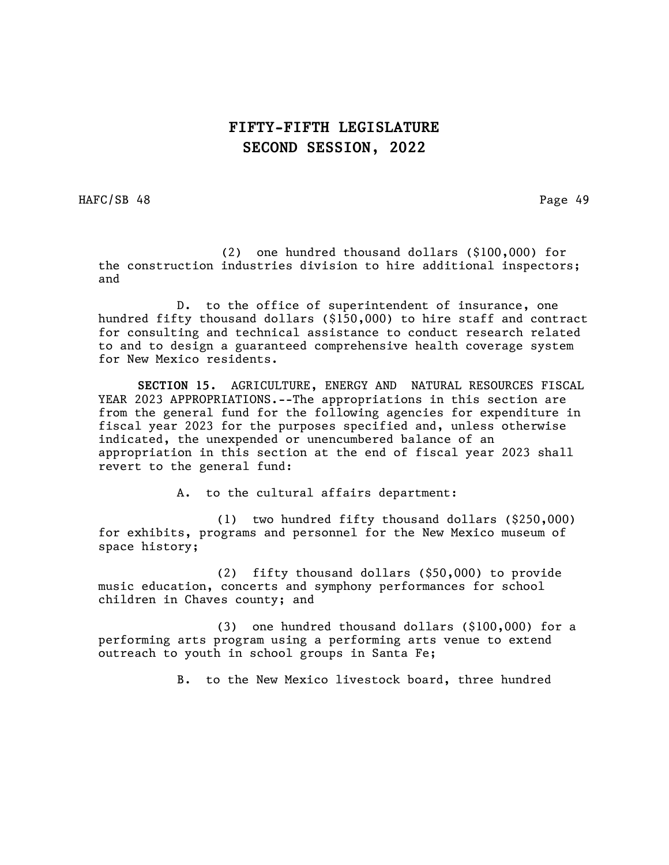HAFC/SB 48 Page 49

 (2) one hundred thousand dollars (\$100,000) for the construction industries division to hire additional inspectors; and

D. to the office of superintendent of insurance, one hundred fifty thousand dollars (\$150,000) to hire staff and contract for consulting and technical assistance to conduct research related to and to design a guaranteed comprehensive health coverage system for New Mexico residents.

SECTION 15. AGRICULTURE, ENERGY AND NATURAL RESOURCES FISCAL YEAR 2023 APPROPRIATIONS.--The appropriations in this section are from the general fund for the following agencies for expenditure in fiscal year 2023 for the purposes specified and, unless otherwise indicated, the unexpended or unencumbered balance of an appropriation in this section at the end of fiscal year 2023 shall revert to the general fund:

A. to the cultural affairs department:

(1) two hundred fifty thousand dollars (\$250,000) for exhibits, programs and personnel for the New Mexico museum of space history;

(2) fifty thousand dollars (\$50,000) to provide music education, concerts and symphony performances for school children in Chaves county; and

(3) one hundred thousand dollars (\$100,000) for a performing arts program using a performing arts venue to extend outreach to youth in school groups in Santa Fe;

B. to the New Mexico livestock board, three hundred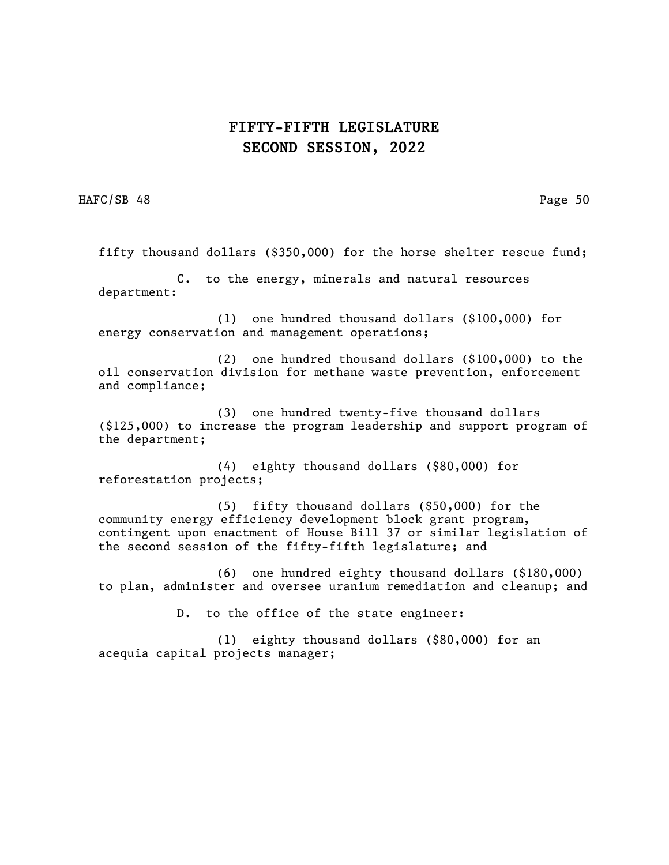HAFC/SB 48 Page 50

fifty thousand dollars (\$350,000) for the horse shelter rescue fund;

C. to the energy, minerals and natural resources department:

(1) one hundred thousand dollars (\$100,000) for energy conservation and management operations;

(2) one hundred thousand dollars (\$100,000) to the oil conservation division for methane waste prevention, enforcement and compliance;

(3) one hundred twenty-five thousand dollars (\$125,000) to increase the program leadership and support program of the department;

(4) eighty thousand dollars (\$80,000) for reforestation projects;

(5) fifty thousand dollars (\$50,000) for the community energy efficiency development block grant program, contingent upon enactment of House Bill 37 or similar legislation of the second session of the fifty-fifth legislature; and

(6) one hundred eighty thousand dollars (\$180,000) to plan, administer and oversee uranium remediation and cleanup; and

D. to the office of the state engineer:

(1) eighty thousand dollars (\$80,000) for an acequia capital projects manager;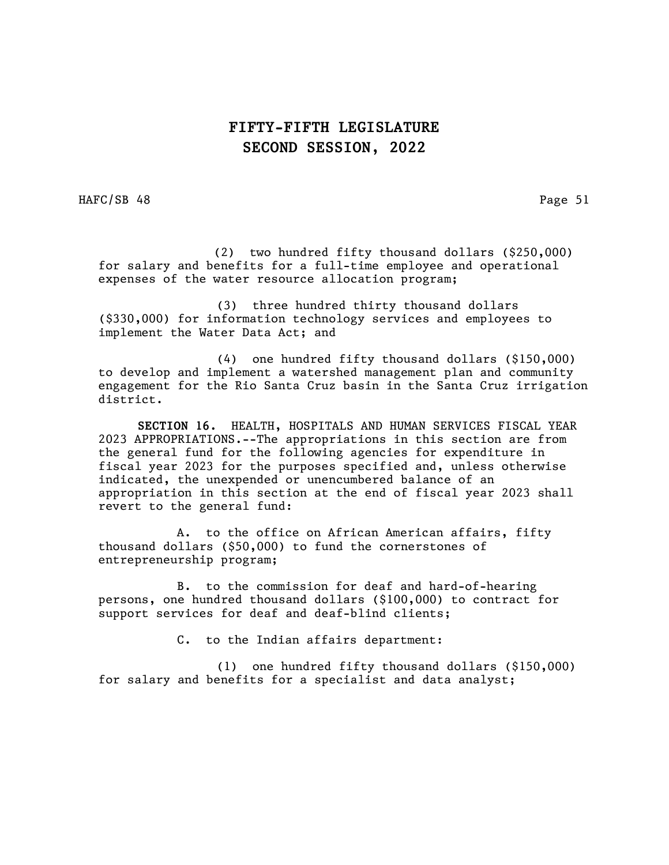HAFC/SB 48 Page 51

 (2) two hundred fifty thousand dollars (\$250,000) for salary and benefits for a full-time employee and operational expenses of the water resource allocation program;

(3) three hundred thirty thousand dollars (\$330,000) for information technology services and employees to implement the Water Data Act; and

(4) one hundred fifty thousand dollars (\$150,000) to develop and implement a watershed management plan and community engagement for the Rio Santa Cruz basin in the Santa Cruz irrigation district.

SECTION 16. HEALTH, HOSPITALS AND HUMAN SERVICES FISCAL YEAR 2023 APPROPRIATIONS.--The appropriations in this section are from the general fund for the following agencies for expenditure in fiscal year 2023 for the purposes specified and, unless otherwise indicated, the unexpended or unencumbered balance of an appropriation in this section at the end of fiscal year 2023 shall revert to the general fund:

A. to the office on African American affairs, fifty thousand dollars (\$50,000) to fund the cornerstones of entrepreneurship program;

B. to the commission for deaf and hard-of-hearing persons, one hundred thousand dollars (\$100,000) to contract for support services for deaf and deaf-blind clients;

C. to the Indian affairs department:

(1) one hundred fifty thousand dollars (\$150,000) for salary and benefits for a specialist and data analyst;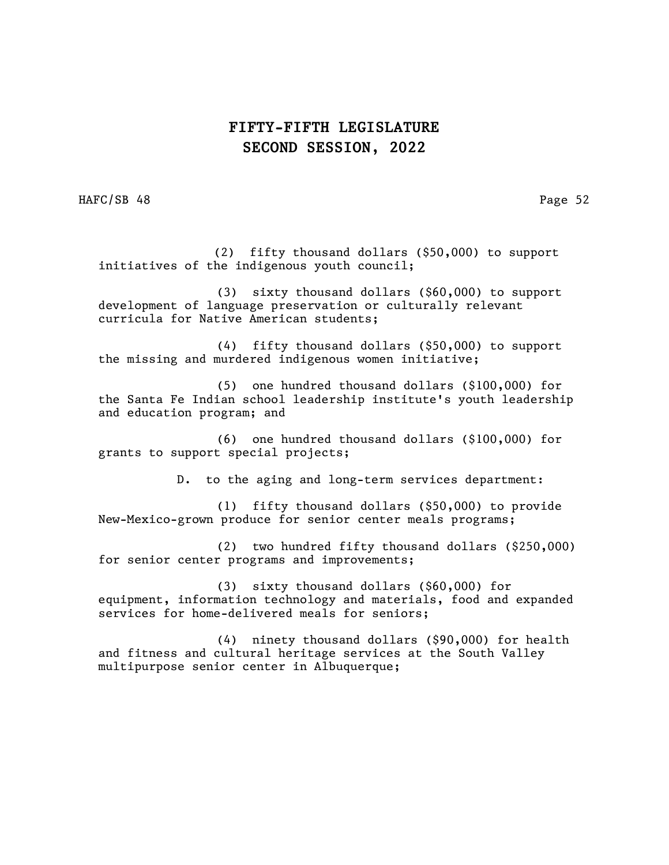HAFC/SB 48 Page 52

 (2) fifty thousand dollars (\$50,000) to support initiatives of the indigenous youth council;

(3) sixty thousand dollars (\$60,000) to support development of language preservation or culturally relevant curricula for Native American students;

(4) fifty thousand dollars (\$50,000) to support the missing and murdered indigenous women initiative;

(5) one hundred thousand dollars (\$100,000) for the Santa Fe Indian school leadership institute's youth leadership and education program; and

(6) one hundred thousand dollars (\$100,000) for grants to support special projects;

D. to the aging and long-term services department:

(1) fifty thousand dollars (\$50,000) to provide New-Mexico-grown produce for senior center meals programs;

(2) two hundred fifty thousand dollars (\$250,000) for senior center programs and improvements;

(3) sixty thousand dollars (\$60,000) for equipment, information technology and materials, food and expanded services for home-delivered meals for seniors;

(4) ninety thousand dollars (\$90,000) for health and fitness and cultural heritage services at the South Valley multipurpose senior center in Albuquerque;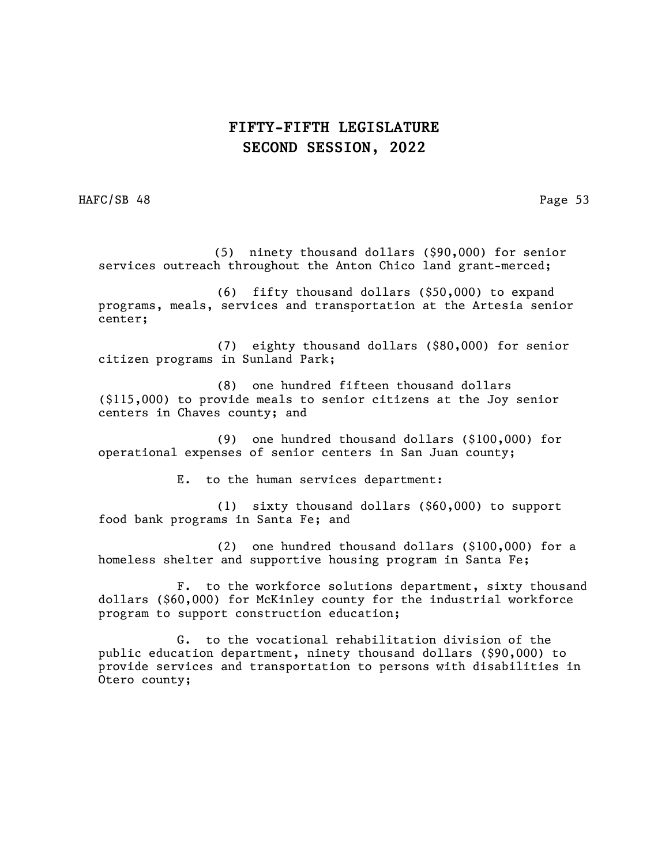HAFC/SB 48 Page 53

 (5) ninety thousand dollars (\$90,000) for senior services outreach throughout the Anton Chico land grant-merced;

(6) fifty thousand dollars (\$50,000) to expand programs, meals, services and transportation at the Artesia senior center;

(7) eighty thousand dollars (\$80,000) for senior citizen programs in Sunland Park;

(8) one hundred fifteen thousand dollars (\$115,000) to provide meals to senior citizens at the Joy senior centers in Chaves county; and

(9) one hundred thousand dollars (\$100,000) for operational expenses of senior centers in San Juan county;

E. to the human services department:

(1) sixty thousand dollars (\$60,000) to support food bank programs in Santa Fe; and

(2) one hundred thousand dollars (\$100,000) for a homeless shelter and supportive housing program in Santa Fe;

F. to the workforce solutions department, sixty thousand dollars (\$60,000) for McKinley county for the industrial workforce program to support construction education;

G. to the vocational rehabilitation division of the public education department, ninety thousand dollars (\$90,000) to provide services and transportation to persons with disabilities in Otero county;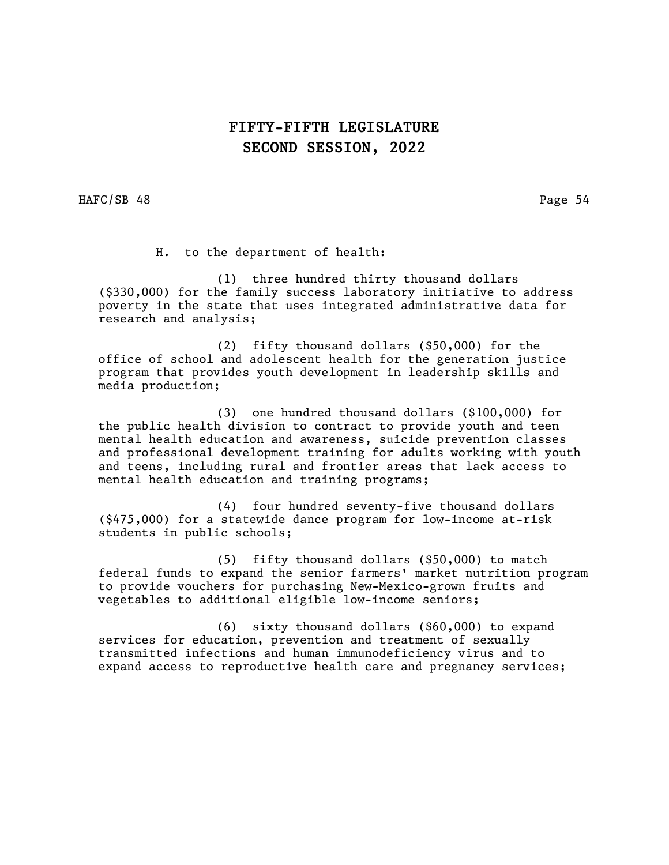HAFC/SB 48 Page 54

H. to the department of health:

(1) three hundred thirty thousand dollars (\$330,000) for the family success laboratory initiative to address poverty in the state that uses integrated administrative data for research and analysis;

(2) fifty thousand dollars (\$50,000) for the office of school and adolescent health for the generation justice program that provides youth development in leadership skills and media production;

(3) one hundred thousand dollars (\$100,000) for the public health division to contract to provide youth and teen mental health education and awareness, suicide prevention classes and professional development training for adults working with youth and teens, including rural and frontier areas that lack access to mental health education and training programs;

(4) four hundred seventy-five thousand dollars (\$475,000) for a statewide dance program for low-income at-risk students in public schools;

(5) fifty thousand dollars (\$50,000) to match federal funds to expand the senior farmers' market nutrition program to provide vouchers for purchasing New-Mexico-grown fruits and vegetables to additional eligible low-income seniors;

(6) sixty thousand dollars (\$60,000) to expand services for education, prevention and treatment of sexually transmitted infections and human immunodeficiency virus and to expand access to reproductive health care and pregnancy services;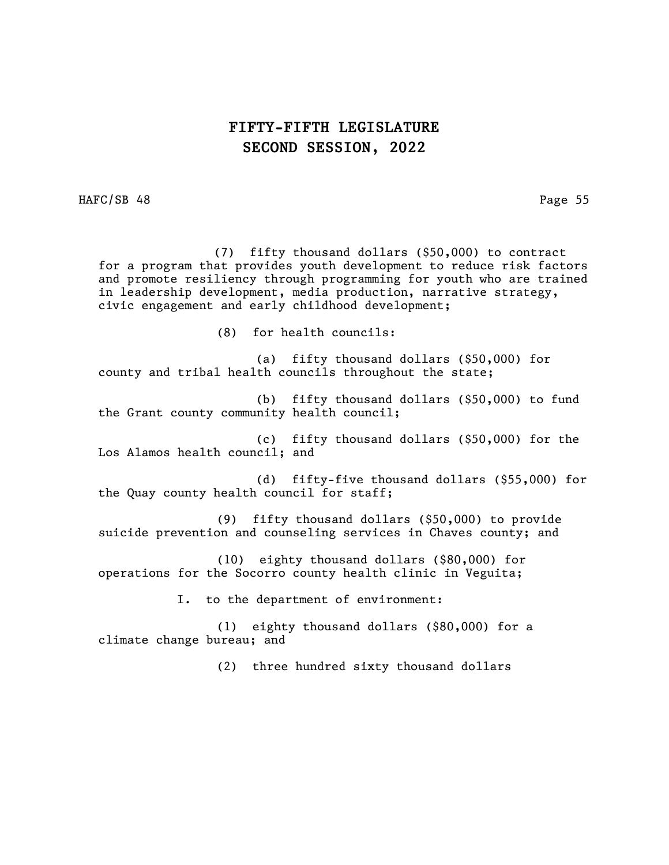HAFC/SB 48 Page 55

 (7) fifty thousand dollars (\$50,000) to contract for a program that provides youth development to reduce risk factors and promote resiliency through programming for youth who are trained in leadership development, media production, narrative strategy, civic engagement and early childhood development;

(8) for health councils:

(a) fifty thousand dollars (\$50,000) for county and tribal health councils throughout the state;

(b) fifty thousand dollars (\$50,000) to fund the Grant county community health council;

(c) fifty thousand dollars (\$50,000) for the Los Alamos health council; and

(d) fifty-five thousand dollars (\$55,000) for the Quay county health council for staff;

(9) fifty thousand dollars (\$50,000) to provide suicide prevention and counseling services in Chaves county; and

(10) eighty thousand dollars (\$80,000) for operations for the Socorro county health clinic in Veguita;

I. to the department of environment:

(1) eighty thousand dollars (\$80,000) for a climate change bureau; and

(2) three hundred sixty thousand dollars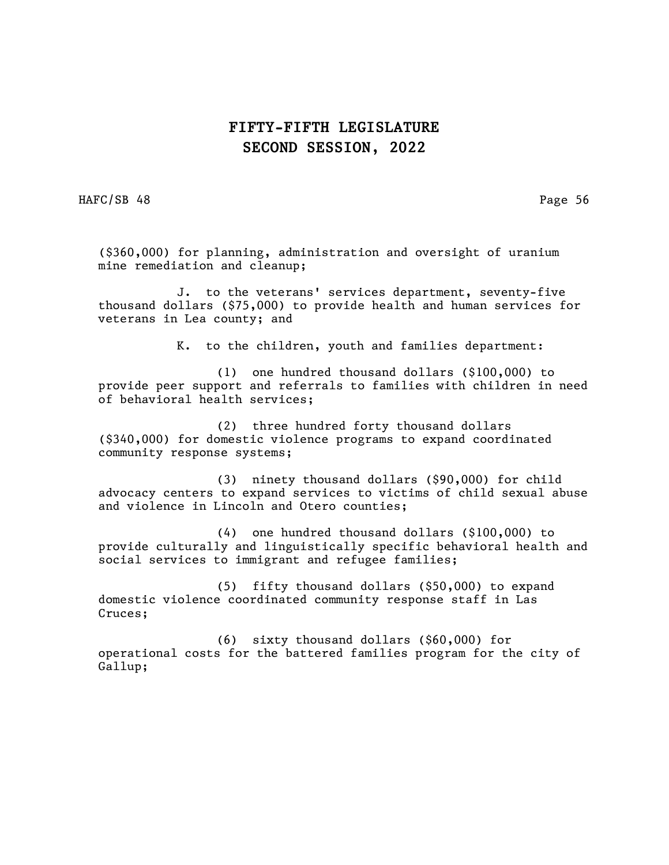HAFC/SB 48 Page 56

(\$360,000) for planning, administration and oversight of uranium mine remediation and cleanup;

J. to the veterans' services department, seventy-five thousand dollars (\$75,000) to provide health and human services for veterans in Lea county; and

K. to the children, youth and families department:

(1) one hundred thousand dollars (\$100,000) to provide peer support and referrals to families with children in need of behavioral health services;

(2) three hundred forty thousand dollars (\$340,000) for domestic violence programs to expand coordinated community response systems;

(3) ninety thousand dollars (\$90,000) for child advocacy centers to expand services to victims of child sexual abuse and violence in Lincoln and Otero counties;

(4) one hundred thousand dollars (\$100,000) to provide culturally and linguistically specific behavioral health and social services to immigrant and refugee families;

(5) fifty thousand dollars (\$50,000) to expand domestic violence coordinated community response staff in Las Cruces;

(6) sixty thousand dollars (\$60,000) for operational costs for the battered families program for the city of Gallup;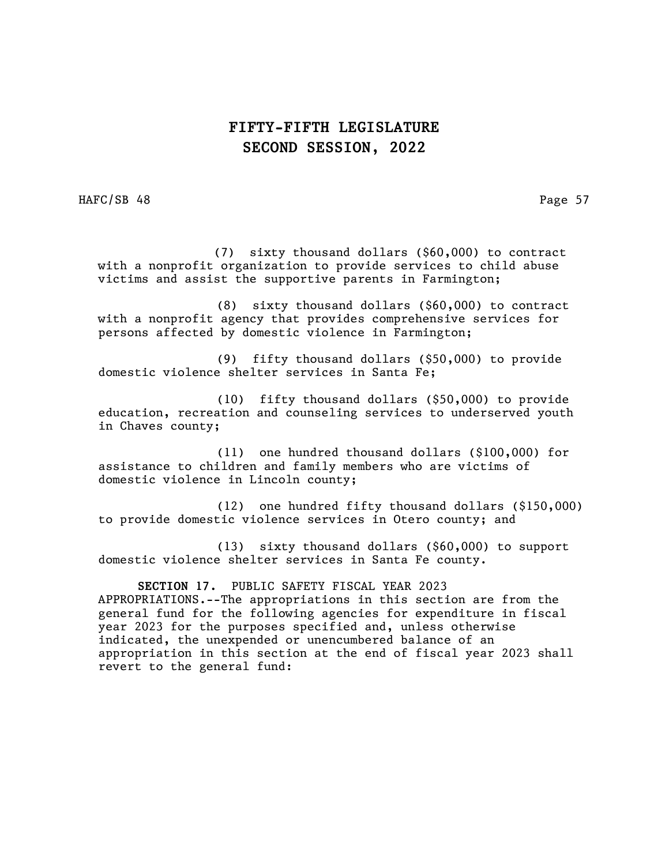HAFC/SB 48 Page 57

 (7) sixty thousand dollars (\$60,000) to contract with a nonprofit organization to provide services to child abuse victims and assist the supportive parents in Farmington;

(8) sixty thousand dollars (\$60,000) to contract with a nonprofit agency that provides comprehensive services for persons affected by domestic violence in Farmington;

(9) fifty thousand dollars (\$50,000) to provide domestic violence shelter services in Santa Fe;

(10) fifty thousand dollars (\$50,000) to provide education, recreation and counseling services to underserved youth in Chaves county;

(11) one hundred thousand dollars (\$100,000) for assistance to children and family members who are victims of domestic violence in Lincoln county;

(12) one hundred fifty thousand dollars (\$150,000) to provide domestic violence services in Otero county; and

(13) sixty thousand dollars (\$60,000) to support domestic violence shelter services in Santa Fe county.

SECTION 17. PUBLIC SAFETY FISCAL YEAR 2023 APPROPRIATIONS.--The appropriations in this section are from the general fund for the following agencies for expenditure in fiscal year 2023 for the purposes specified and, unless otherwise indicated, the unexpended or unencumbered balance of an appropriation in this section at the end of fiscal year 2023 shall revert to the general fund: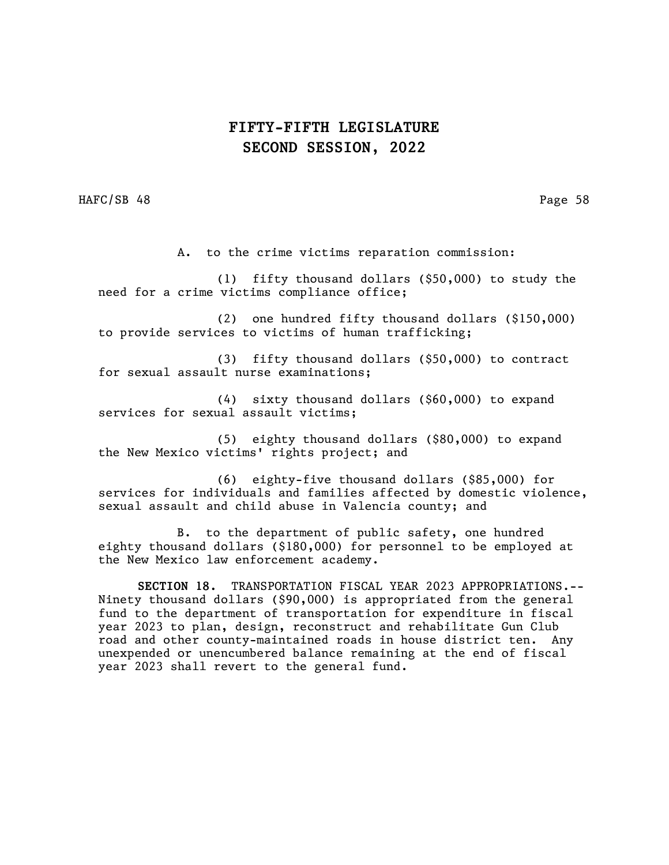HAFC/SB 48 Page 58

A. to the crime victims reparation commission:

(1) fifty thousand dollars (\$50,000) to study the need for a crime victims compliance office;

(2) one hundred fifty thousand dollars (\$150,000) to provide services to victims of human trafficking;

(3) fifty thousand dollars (\$50,000) to contract for sexual assault nurse examinations;

(4) sixty thousand dollars (\$60,000) to expand services for sexual assault victims;

(5) eighty thousand dollars (\$80,000) to expand the New Mexico victims' rights project; and

(6) eighty-five thousand dollars (\$85,000) for services for individuals and families affected by domestic violence, sexual assault and child abuse in Valencia county; and

B. to the department of public safety, one hundred eighty thousand dollars (\$180,000) for personnel to be employed at the New Mexico law enforcement academy.

SECTION 18. TRANSPORTATION FISCAL YEAR 2023 APPROPRIATIONS.-- Ninety thousand dollars (\$90,000) is appropriated from the general fund to the department of transportation for expenditure in fiscal year 2023 to plan, design, reconstruct and rehabilitate Gun Club road and other county-maintained roads in house district ten. Any unexpended or unencumbered balance remaining at the end of fiscal year 2023 shall revert to the general fund.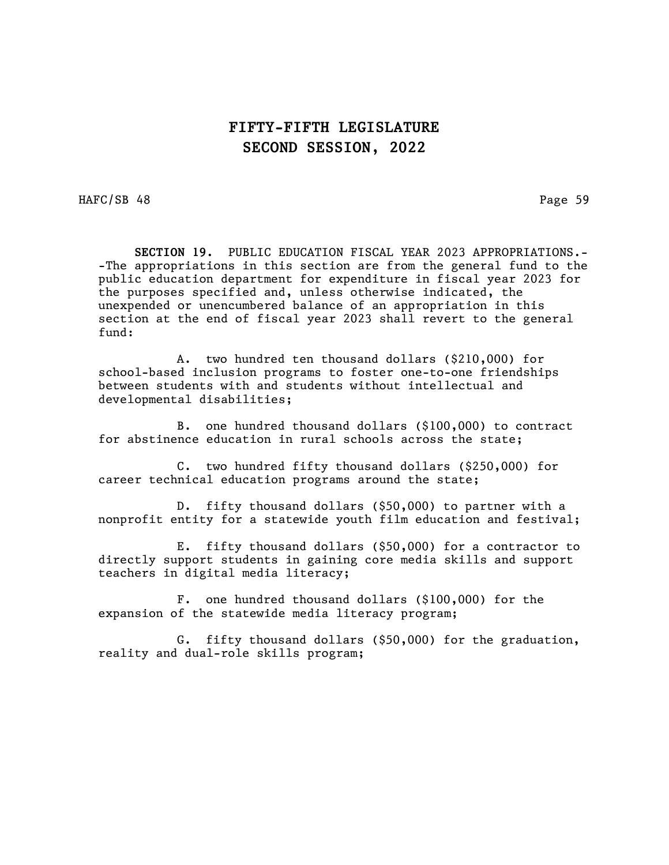HAFC/SB 48 Page 59

 SECTION 19. PUBLIC EDUCATION FISCAL YEAR 2023 APPROPRIATIONS.- -The appropriations in this section are from the general fund to the public education department for expenditure in fiscal year 2023 for the purposes specified and, unless otherwise indicated, the unexpended or unencumbered balance of an appropriation in this section at the end of fiscal year 2023 shall revert to the general fund:

A. two hundred ten thousand dollars (\$210,000) for school-based inclusion programs to foster one-to-one friendships between students with and students without intellectual and developmental disabilities;

B. one hundred thousand dollars (\$100,000) to contract for abstinence education in rural schools across the state;

C. two hundred fifty thousand dollars (\$250,000) for career technical education programs around the state;

D. fifty thousand dollars (\$50,000) to partner with a nonprofit entity for a statewide youth film education and festival;

E. fifty thousand dollars (\$50,000) for a contractor to directly support students in gaining core media skills and support teachers in digital media literacy;

F. one hundred thousand dollars (\$100,000) for the expansion of the statewide media literacy program;

G. fifty thousand dollars (\$50,000) for the graduation, reality and dual-role skills program;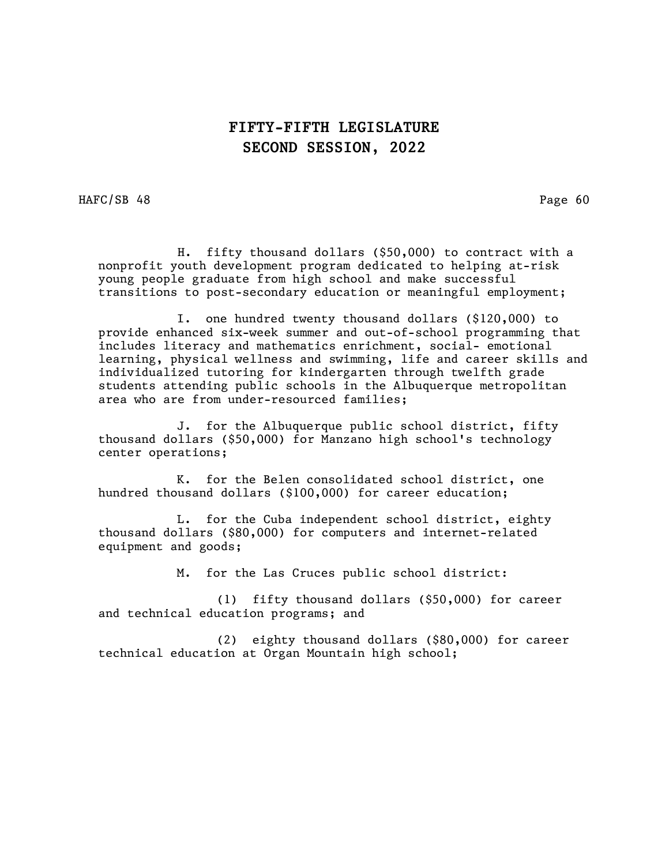HAFC/SB 48 Page 60

 H. fifty thousand dollars (\$50,000) to contract with a nonprofit youth development program dedicated to helping at-risk young people graduate from high school and make successful transitions to post-secondary education or meaningful employment;

I. one hundred twenty thousand dollars (\$120,000) to provide enhanced six-week summer and out-of-school programming that includes literacy and mathematics enrichment, social- emotional learning, physical wellness and swimming, life and career skills and individualized tutoring for kindergarten through twelfth grade students attending public schools in the Albuquerque metropolitan area who are from under-resourced families;

J. for the Albuquerque public school district, fifty thousand dollars (\$50,000) for Manzano high school's technology center operations;

K. for the Belen consolidated school district, one hundred thousand dollars (\$100,000) for career education;

L. for the Cuba independent school district, eighty thousand dollars (\$80,000) for computers and internet-related equipment and goods;

M. for the Las Cruces public school district:

(1) fifty thousand dollars (\$50,000) for career and technical education programs; and

(2) eighty thousand dollars (\$80,000) for career technical education at Organ Mountain high school;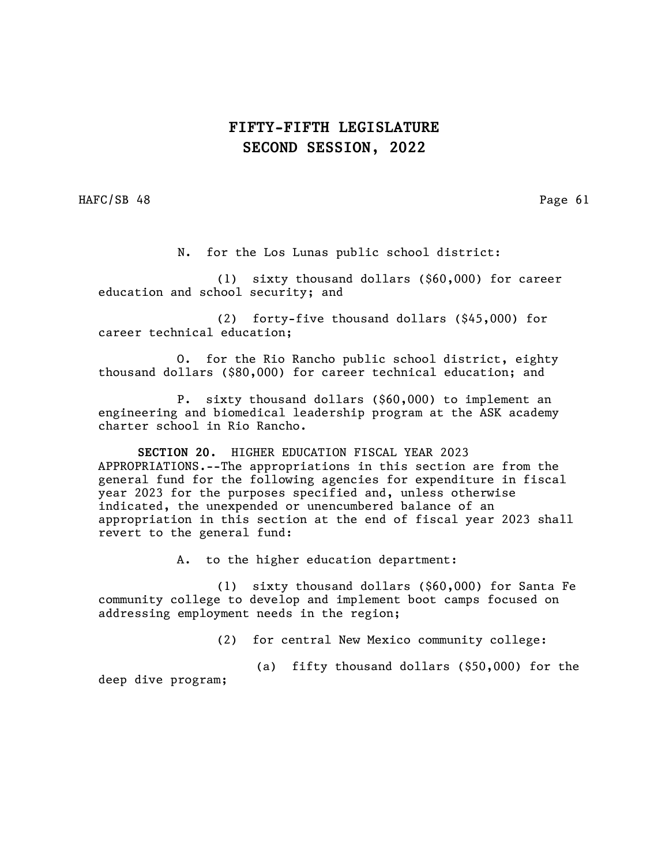HAFC/SB 48 Page 61

N. for the Los Lunas public school district:

(1) sixty thousand dollars (\$60,000) for career education and school security; and

(2) forty-five thousand dollars (\$45,000) for career technical education;

O. for the Rio Rancho public school district, eighty thousand dollars (\$80,000) for career technical education; and

P. sixty thousand dollars (\$60,000) to implement an engineering and biomedical leadership program at the ASK academy charter school in Rio Rancho.

SECTION 20. HIGHER EDUCATION FISCAL YEAR 2023 APPROPRIATIONS.--The appropriations in this section are from the general fund for the following agencies for expenditure in fiscal year 2023 for the purposes specified and, unless otherwise indicated, the unexpended or unencumbered balance of an appropriation in this section at the end of fiscal year 2023 shall revert to the general fund:

A. to the higher education department:

(1) sixty thousand dollars (\$60,000) for Santa Fe community college to develop and implement boot camps focused on addressing employment needs in the region;

(2) for central New Mexico community college:

(a) fifty thousand dollars (\$50,000) for the

deep dive program;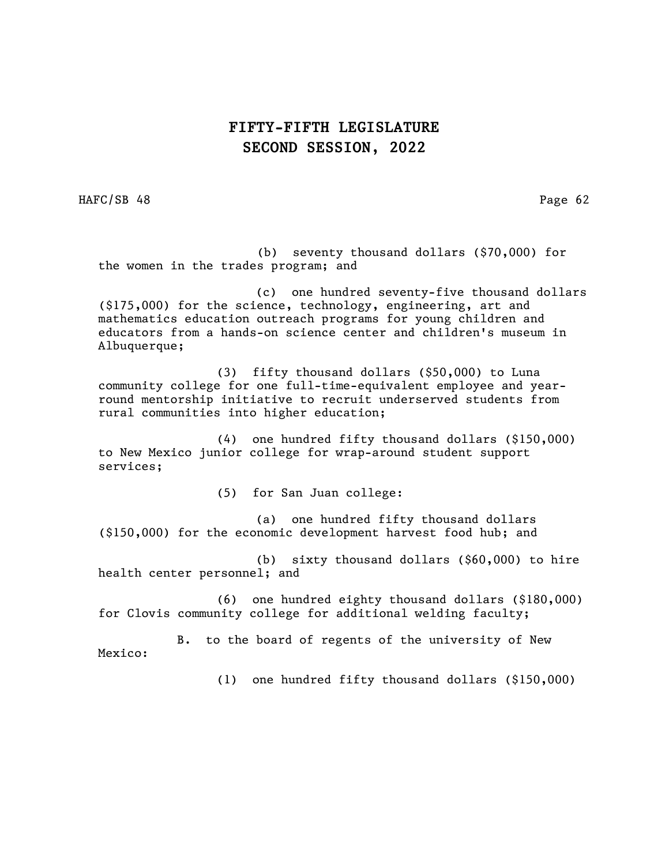HAFC/SB 48 Page 62

 (b) seventy thousand dollars (\$70,000) for the women in the trades program; and

(c) one hundred seventy-five thousand dollars (\$175,000) for the science, technology, engineering, art and mathematics education outreach programs for young children and educators from a hands-on science center and children's museum in Albuquerque;

(3) fifty thousand dollars (\$50,000) to Luna community college for one full-time-equivalent employee and yearround mentorship initiative to recruit underserved students from rural communities into higher education;

(4) one hundred fifty thousand dollars (\$150,000) to New Mexico junior college for wrap-around student support services;

(5) for San Juan college:

(a) one hundred fifty thousand dollars (\$150,000) for the economic development harvest food hub; and

(b) sixty thousand dollars (\$60,000) to hire health center personnel; and

(6) one hundred eighty thousand dollars (\$180,000) for Clovis community college for additional welding faculty;

B. to the board of regents of the university of New Mexico:

(1) one hundred fifty thousand dollars (\$150,000)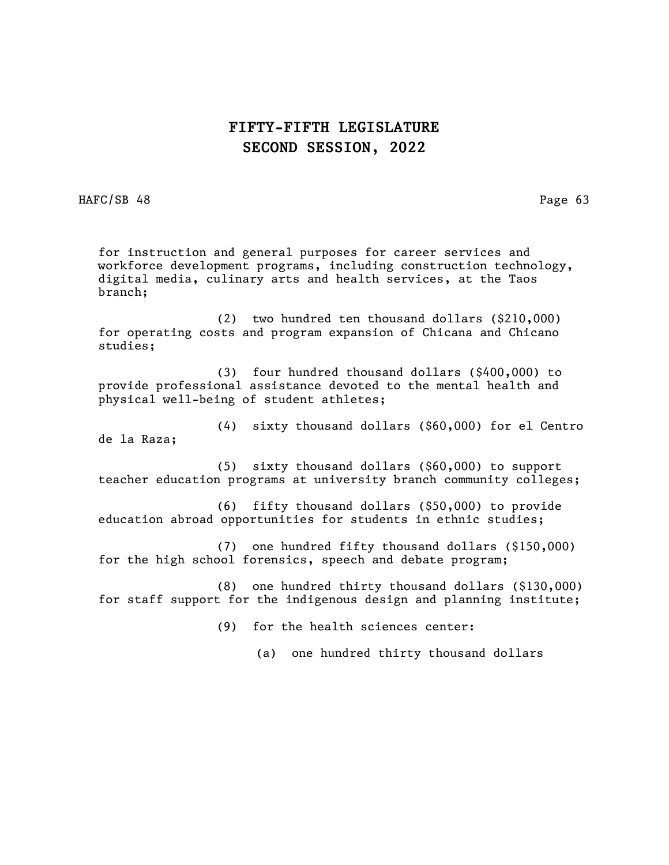HAFC/SB 48 Page 63

for instruction and general purposes for career services and workforce development programs, including construction technology, digital media, culinary arts and health services, at the Taos branch;

(2) two hundred ten thousand dollars (\$210,000) for operating costs and program expansion of Chicana and Chicano studies;

(3) four hundred thousand dollars (\$400,000) to provide professional assistance devoted to the mental health and physical well-being of student athletes;

(4) sixty thousand dollars (\$60,000) for el Centro de la Raza;

(5) sixty thousand dollars (\$60,000) to support teacher education programs at university branch community colleges;

(6) fifty thousand dollars (\$50,000) to provide education abroad opportunities for students in ethnic studies;

(7) one hundred fifty thousand dollars (\$150,000) for the high school forensics, speech and debate program;

(8) one hundred thirty thousand dollars (\$130,000) for staff support for the indigenous design and planning institute;

(9) for the health sciences center:

(a) one hundred thirty thousand dollars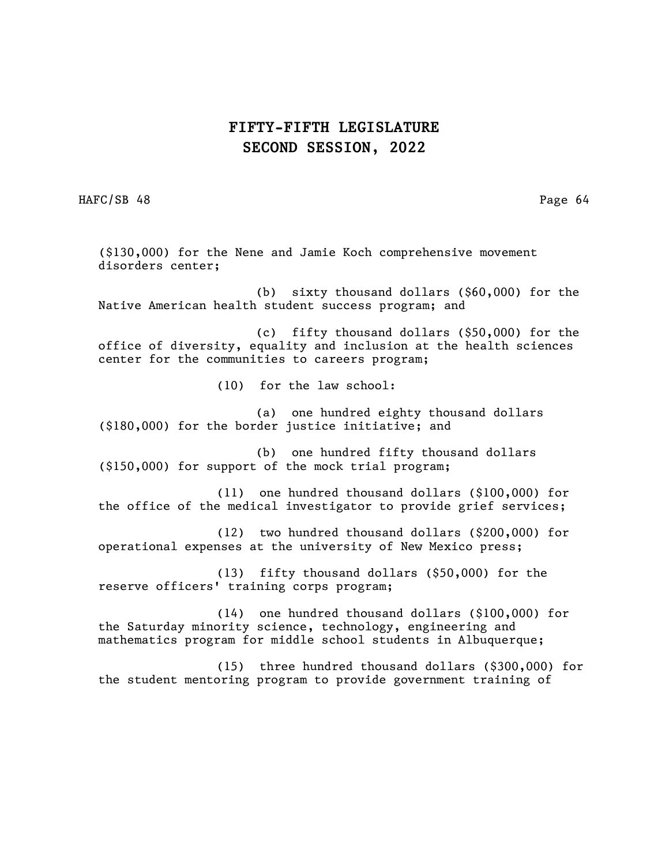HAFC/SB 48 Page 64

(\$130,000) for the Nene and Jamie Koch comprehensive movement disorders center; (b) sixty thousand dollars (\$60,000) for the Native American health student success program; and (c) fifty thousand dollars (\$50,000) for the office of diversity, equality and inclusion at the health sciences center for the communities to careers program; (10) for the law school: (a) one hundred eighty thousand dollars (\$180,000) for the border justice initiative; and (b) one hundred fifty thousand dollars (\$150,000) for support of the mock trial program; (11) one hundred thousand dollars (\$100,000) for the office of the medical investigator to provide grief services; (12) two hundred thousand dollars (\$200,000) for operational expenses at the university of New Mexico press; (13) fifty thousand dollars (\$50,000) for the reserve officers' training corps program; (14) one hundred thousand dollars (\$100,000) for the Saturday minority science, technology, engineering and mathematics program for middle school students in Albuquerque; (15) three hundred thousand dollars (\$300,000) for

the student mentoring program to provide government training of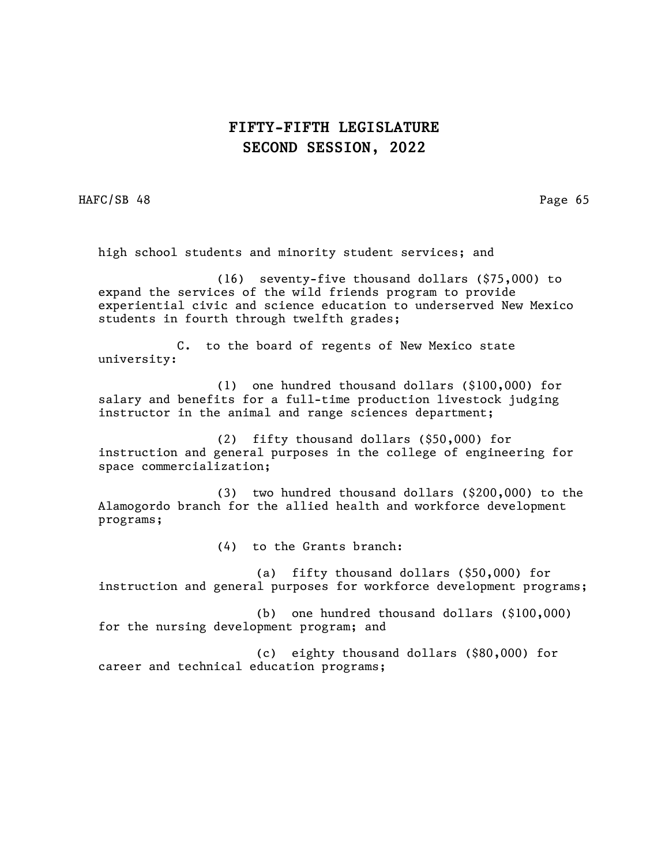HAFC/SB 48 Page 65

high school students and minority student services; and

(16) seventy-five thousand dollars (\$75,000) to expand the services of the wild friends program to provide experiential civic and science education to underserved New Mexico students in fourth through twelfth grades;

C. to the board of regents of New Mexico state university:

(1) one hundred thousand dollars (\$100,000) for salary and benefits for a full-time production livestock judging instructor in the animal and range sciences department;

(2) fifty thousand dollars (\$50,000) for instruction and general purposes in the college of engineering for space commercialization;

(3) two hundred thousand dollars (\$200,000) to the Alamogordo branch for the allied health and workforce development programs;

(4) to the Grants branch:

(a) fifty thousand dollars (\$50,000) for instruction and general purposes for workforce development programs;

(b) one hundred thousand dollars (\$100,000) for the nursing development program; and

(c) eighty thousand dollars (\$80,000) for career and technical education programs;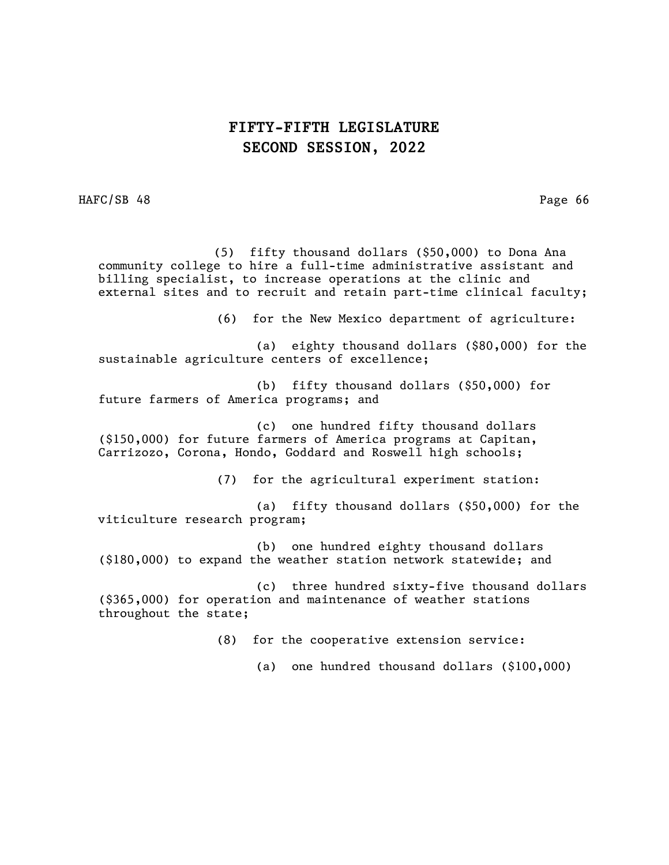HAFC/SB 48 Page 66

 (5) fifty thousand dollars (\$50,000) to Dona Ana community college to hire a full-time administrative assistant and billing specialist, to increase operations at the clinic and external sites and to recruit and retain part-time clinical faculty;

(6) for the New Mexico department of agriculture:

(a) eighty thousand dollars (\$80,000) for the sustainable agriculture centers of excellence;

(b) fifty thousand dollars (\$50,000) for future farmers of America programs; and

(c) one hundred fifty thousand dollars (\$150,000) for future farmers of America programs at Capitan, Carrizozo, Corona, Hondo, Goddard and Roswell high schools;

(7) for the agricultural experiment station:

(a) fifty thousand dollars (\$50,000) for the viticulture research program;

(b) one hundred eighty thousand dollars (\$180,000) to expand the weather station network statewide; and

(c) three hundred sixty-five thousand dollars (\$365,000) for operation and maintenance of weather stations throughout the state;

(8) for the cooperative extension service:

(a) one hundred thousand dollars (\$100,000)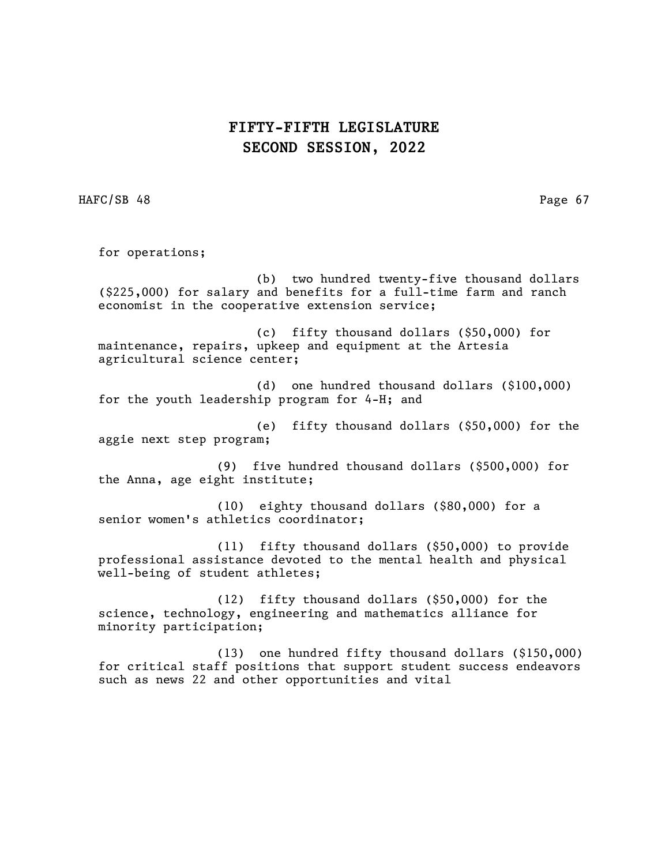HAFC/SB 48 Page 67

for operations;

(b) two hundred twenty-five thousand dollars (\$225,000) for salary and benefits for a full-time farm and ranch economist in the cooperative extension service;

(c) fifty thousand dollars (\$50,000) for maintenance, repairs, upkeep and equipment at the Artesia agricultural science center;

(d) one hundred thousand dollars (\$100,000) for the youth leadership program for 4-H; and

(e) fifty thousand dollars (\$50,000) for the aggie next step program;

(9) five hundred thousand dollars (\$500,000) for the Anna, age eight institute;

(10) eighty thousand dollars (\$80,000) for a senior women's athletics coordinator;

(11) fifty thousand dollars (\$50,000) to provide professional assistance devoted to the mental health and physical well-being of student athletes;

(12) fifty thousand dollars (\$50,000) for the science, technology, engineering and mathematics alliance for minority participation;

(13) one hundred fifty thousand dollars (\$150,000) for critical staff positions that support student success endeavors such as news 22 and other opportunities and vital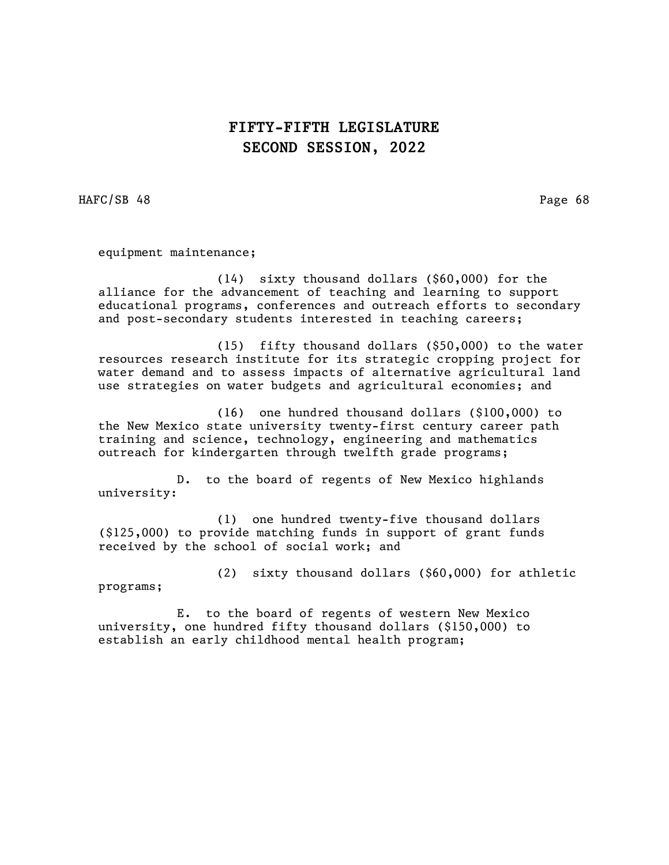HAFC/SB 48 Page 68

equipment maintenance;

(14) sixty thousand dollars (\$60,000) for the alliance for the advancement of teaching and learning to support educational programs, conferences and outreach efforts to secondary and post-secondary students interested in teaching careers;

(15) fifty thousand dollars (\$50,000) to the water resources research institute for its strategic cropping project for water demand and to assess impacts of alternative agricultural land use strategies on water budgets and agricultural economies; and

(16) one hundred thousand dollars (\$100,000) to the New Mexico state university twenty-first century career path training and science, technology, engineering and mathematics outreach for kindergarten through twelfth grade programs;

D. to the board of regents of New Mexico highlands university:

(1) one hundred twenty-five thousand dollars (\$125,000) to provide matching funds in support of grant funds received by the school of social work; and

(2) sixty thousand dollars (\$60,000) for athletic

programs;

E. to the board of regents of western New Mexico university, one hundred fifty thousand dollars (\$150,000) to establish an early childhood mental health program;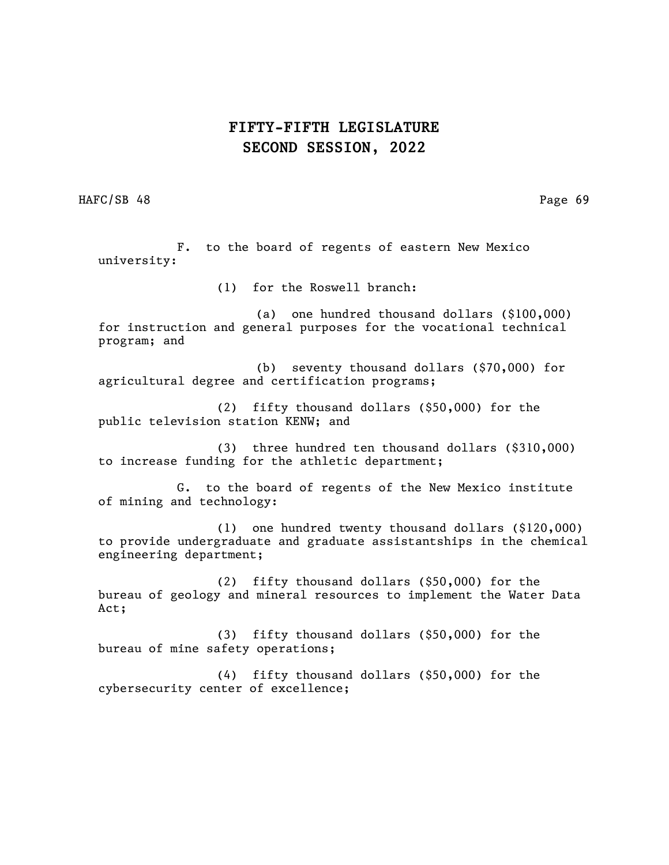HAFC/SB 48 Page 69

F. to the board of regents of eastern New Mexico university:

(1) for the Roswell branch:

(a) one hundred thousand dollars (\$100,000) for instruction and general purposes for the vocational technical program; and

(b) seventy thousand dollars (\$70,000) for agricultural degree and certification programs;

(2) fifty thousand dollars (\$50,000) for the public television station KENW; and

(3) three hundred ten thousand dollars (\$310,000) to increase funding for the athletic department;

G. to the board of regents of the New Mexico institute of mining and technology:

(1) one hundred twenty thousand dollars (\$120,000) to provide undergraduate and graduate assistantships in the chemical engineering department;

(2) fifty thousand dollars (\$50,000) for the bureau of geology and mineral resources to implement the Water Data Act;

(3) fifty thousand dollars (\$50,000) for the bureau of mine safety operations;

(4) fifty thousand dollars (\$50,000) for the cybersecurity center of excellence;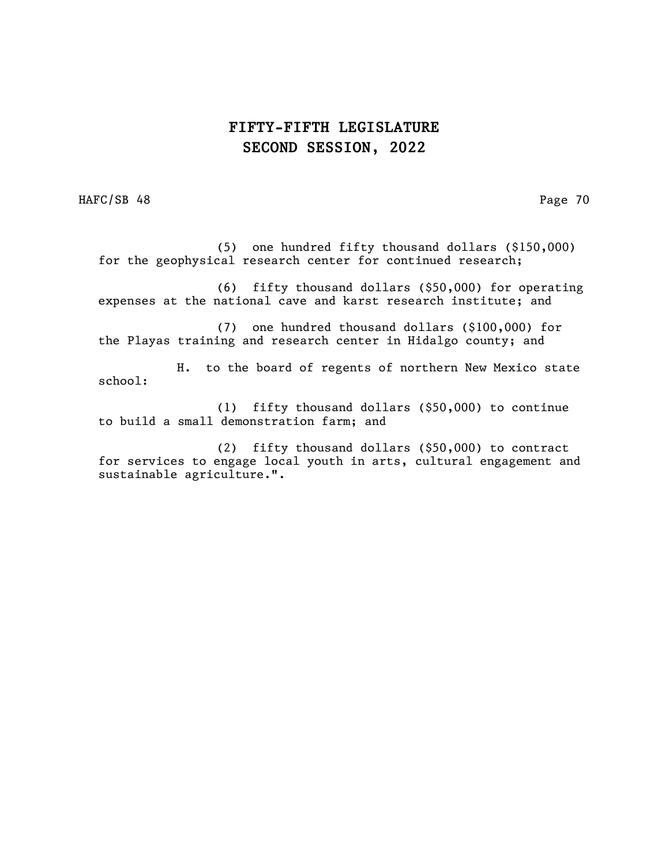HAFC/SB 48 Page 70

(5) one hundred fifty thousand dollars (\$150,000) for the geophysical research center for continued research;

(6) fifty thousand dollars (\$50,000) for operating expenses at the national cave and karst research institute; and

(7) one hundred thousand dollars (\$100,000) for the Playas training and research center in Hidalgo county; and

H. to the board of regents of northern New Mexico state school:

(1) fifty thousand dollars (\$50,000) to continue to build a small demonstration farm; and

(2) fifty thousand dollars (\$50,000) to contract for services to engage local youth in arts, cultural engagement and sustainable agriculture.".